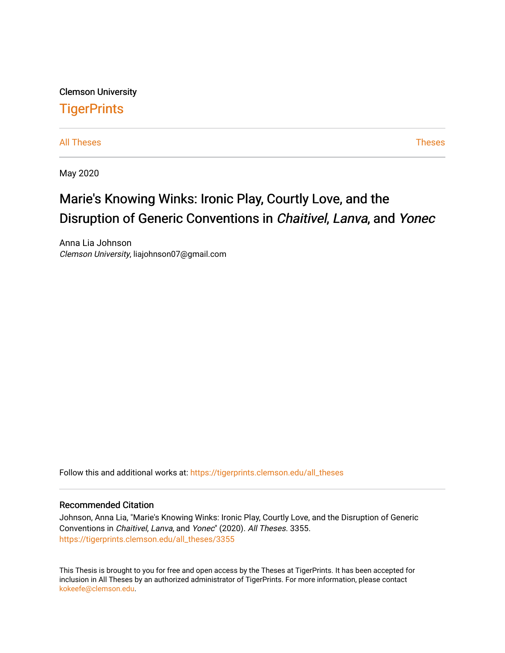Clemson University **TigerPrints** 

[All Theses](https://tigerprints.clemson.edu/all_theses) **Theses** [Theses](https://tigerprints.clemson.edu/theses) **Theses** 

May 2020

# Marie's Knowing Winks: Ironic Play, Courtly Love, and the Disruption of Generic Conventions in Chaitivel, Lanva, and Yonec

Anna Lia Johnson Clemson University, liajohnson07@gmail.com

Follow this and additional works at: [https://tigerprints.clemson.edu/all\\_theses](https://tigerprints.clemson.edu/all_theses?utm_source=tigerprints.clemson.edu%2Fall_theses%2F3355&utm_medium=PDF&utm_campaign=PDFCoverPages) 

#### Recommended Citation

Johnson, Anna Lia, "Marie's Knowing Winks: Ironic Play, Courtly Love, and the Disruption of Generic Conventions in Chaitivel, Lanva, and Yonec" (2020). All Theses. 3355. [https://tigerprints.clemson.edu/all\\_theses/3355](https://tigerprints.clemson.edu/all_theses/3355?utm_source=tigerprints.clemson.edu%2Fall_theses%2F3355&utm_medium=PDF&utm_campaign=PDFCoverPages) 

This Thesis is brought to you for free and open access by the Theses at TigerPrints. It has been accepted for inclusion in All Theses by an authorized administrator of TigerPrints. For more information, please contact [kokeefe@clemson.edu](mailto:kokeefe@clemson.edu).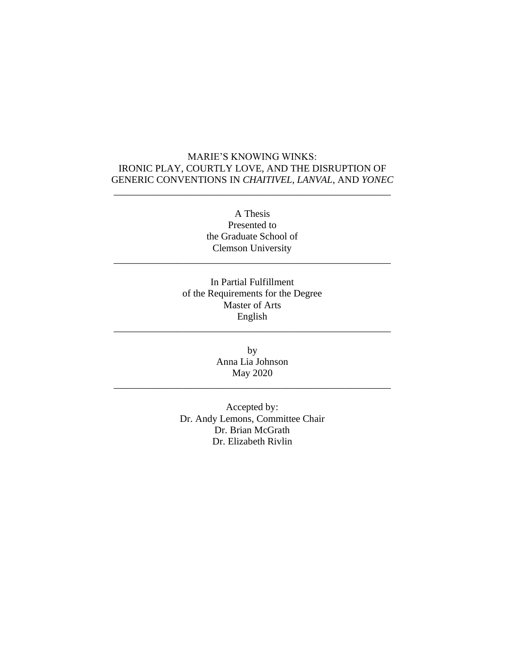# <span id="page-1-0"></span>MARIE'S KNOWING WINKS: IRONIC PLAY, COURTLY LOVE, AND THE DISRUPTION OF GENERIC CONVENTIONS IN *CHAITIVEL, LANVAL*, AND *YONEC*

\_\_\_\_\_\_\_\_\_\_\_\_\_\_\_\_\_\_\_\_\_\_\_\_\_\_\_\_\_\_\_\_\_\_\_\_\_\_\_\_\_\_\_\_\_\_\_\_\_\_\_\_\_\_\_\_

A Thesis Presented to the Graduate School of Clemson University

\_\_\_\_\_\_\_\_\_\_\_\_\_\_\_\_\_\_\_\_\_\_\_\_\_\_\_\_\_\_\_\_\_\_\_\_\_\_\_\_\_\_\_\_\_\_\_\_\_\_\_\_\_\_\_\_

In Partial Fulfillment of the Requirements for the Degree Master of Arts English

\_\_\_\_\_\_\_\_\_\_\_\_\_\_\_\_\_\_\_\_\_\_\_\_\_\_\_\_\_\_\_\_\_\_\_\_\_\_\_\_\_\_\_\_\_\_\_\_\_\_\_\_\_\_\_\_

by Anna Lia Johnson May 2020

\_\_\_\_\_\_\_\_\_\_\_\_\_\_\_\_\_\_\_\_\_\_\_\_\_\_\_\_\_\_\_\_\_\_\_\_\_\_\_\_\_\_\_\_\_\_\_\_\_\_\_\_\_\_\_\_

Accepted by: Dr. Andy Lemons, Committee Chair Dr. Brian McGrath Dr. Elizabeth Rivlin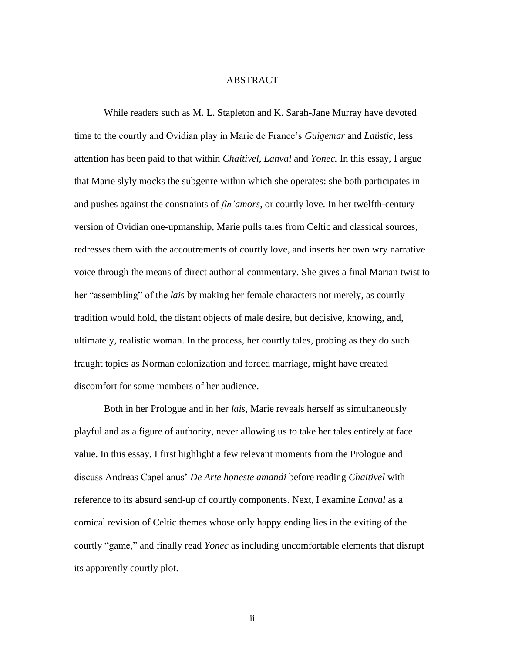#### ABSTRACT

<span id="page-2-0"></span>While readers such as M. L. Stapleton and K. Sarah-Jane Murray have devoted time to the courtly and Ovidian play in Marie de France's *Guigemar* and *Laüstic*, less attention has been paid to that within *Chaitivel, Lanval* and *Yonec.* In this essay, I argue that Marie slyly mocks the subgenre within which she operates: she both participates in and pushes against the constraints of *fin'amors*, or courtly love. In her twelfth-century version of Ovidian one-upmanship, Marie pulls tales from Celtic and classical sources, redresses them with the accoutrements of courtly love, and inserts her own wry narrative voice through the means of direct authorial commentary. She gives a final Marian twist to her "assembling" of the *lais* by making her female characters not merely, as courtly tradition would hold, the distant objects of male desire, but decisive, knowing, and, ultimately, realistic woman. In the process, her courtly tales, probing as they do such fraught topics as Norman colonization and forced marriage, might have created discomfort for some members of her audience.

Both in her Prologue and in her *lais,* Marie reveals herself as simultaneously playful and as a figure of authority, never allowing us to take her tales entirely at face value. In this essay, I first highlight a few relevant moments from the Prologue and discuss Andreas Capellanus' *De Arte honeste amandi* before reading *Chaitivel* with reference to its absurd send-up of courtly components. Next, I examine *Lanval* as a comical revision of Celtic themes whose only happy ending lies in the exiting of the courtly "game," and finally read *Yonec* as including uncomfortable elements that disrupt its apparently courtly plot.

ii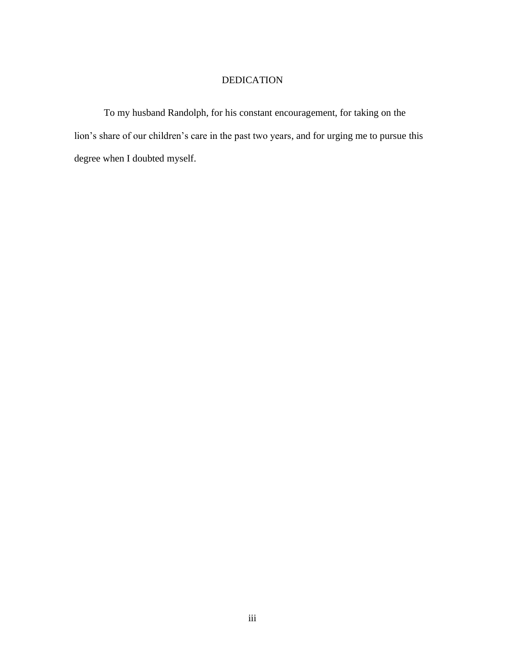# DEDICATION

<span id="page-3-0"></span>To my husband Randolph, for his constant encouragement, for taking on the lion's share of our children's care in the past two years, and for urging me to pursue this degree when I doubted myself.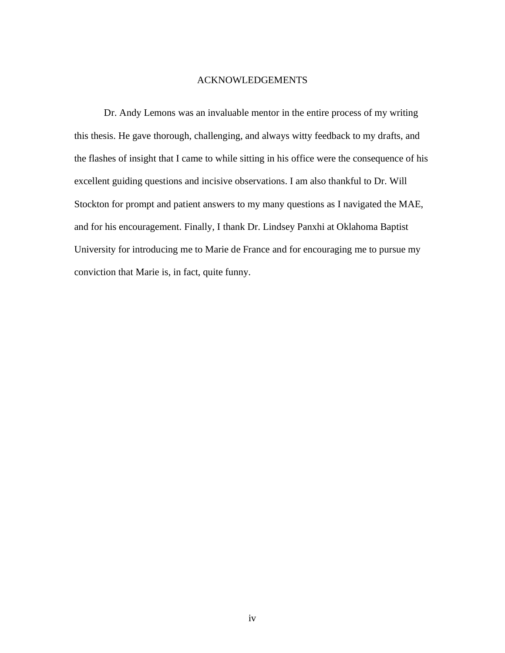#### ACKNOWLEDGEMENTS

<span id="page-4-0"></span>Dr. Andy Lemons was an invaluable mentor in the entire process of my writing this thesis. He gave thorough, challenging, and always witty feedback to my drafts, and the flashes of insight that I came to while sitting in his office were the consequence of his excellent guiding questions and incisive observations. I am also thankful to Dr. Will Stockton for prompt and patient answers to my many questions as I navigated the MAE, and for his encouragement. Finally, I thank Dr. Lindsey Panxhi at Oklahoma Baptist University for introducing me to Marie de France and for encouraging me to pursue my conviction that Marie is, in fact, quite funny.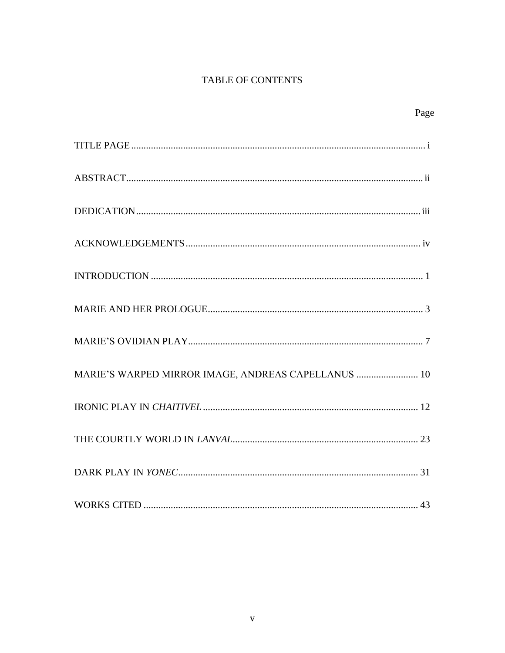# TABLE OF CONTENTS

| Page                                                |
|-----------------------------------------------------|
|                                                     |
|                                                     |
|                                                     |
|                                                     |
|                                                     |
|                                                     |
|                                                     |
| MARIE'S WARPED MIRROR IMAGE, ANDREAS CAPELLANUS  10 |
|                                                     |
|                                                     |
|                                                     |
|                                                     |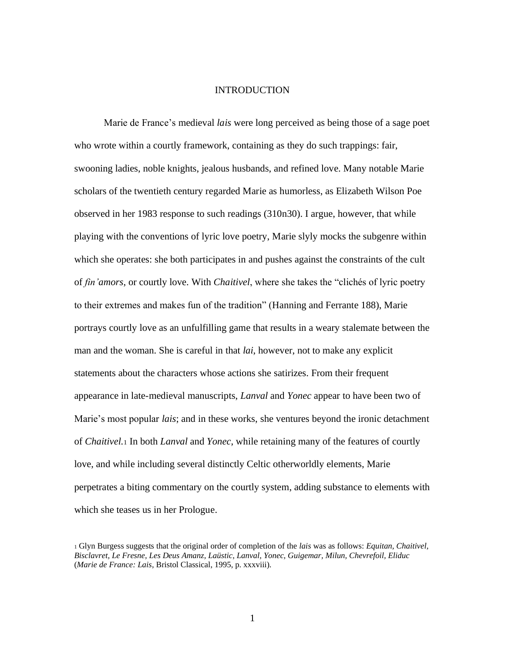#### INTRODUCTION

<span id="page-6-0"></span>Marie de France's medieval *lais* were long perceived as being those of a sage poet who wrote within a courtly framework, containing as they do such trappings: fair, swooning ladies, noble knights, jealous husbands, and refined love. Many notable Marie scholars of the twentieth century regarded Marie as humorless, as Elizabeth Wilson Poe observed in her 1983 response to such readings (310n30). I argue, however, that while playing with the conventions of lyric love poetry, Marie slyly mocks the subgenre within which she operates: she both participates in and pushes against the constraints of the cult of *fin'amors*, or courtly love. With *Chaitivel*, where she takes the "clichés of lyric poetry to their extremes and makes fun of the tradition" (Hanning and Ferrante 188), Marie portrays courtly love as an unfulfilling game that results in a weary stalemate between the man and the woman. She is careful in that *lai*, however, not to make any explicit statements about the characters whose actions she satirizes. From their frequent appearance in late-medieval manuscripts, *Lanval* and *Yonec* appear to have been two of Marie's most popular *lais*; and in these works, she ventures beyond the ironic detachment of *Chaitivel.*<sup>1</sup> In both *Lanval* and *Yonec*, while retaining many of the features of courtly love, and while including several distinctly Celtic otherworldly elements, Marie perpetrates a biting commentary on the courtly system, adding substance to elements with which she teases us in her Prologue.

<sup>1</sup> Glyn Burgess suggests that the original order of completion of the *lais* was as follows: *Equitan, Chaitivel, Bisclavret, Le Fresne, Les Deus Amanz, Laüstic, Lanval, Yonec, Guigemar, Milun, Chevrefoil, Eliduc* (*Marie de France: Lais*, Bristol Classical, 1995, p. xxxviii).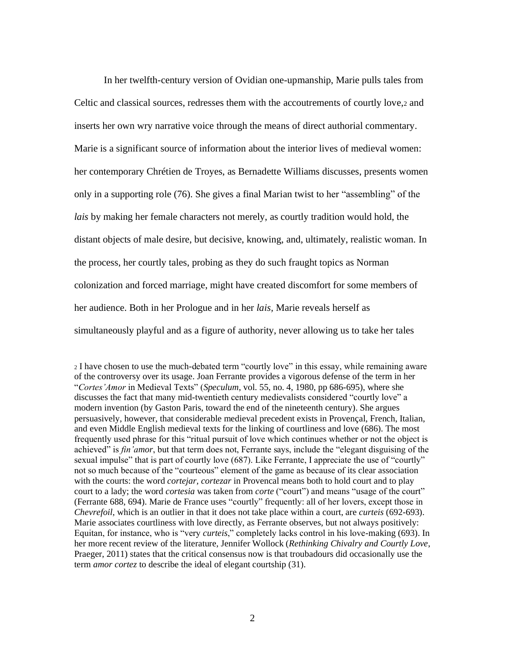In her twelfth-century version of Ovidian one-upmanship, Marie pulls tales from Celtic and classical sources, redresses them with the accoutrements of courtly love,<sup>2</sup> and inserts her own wry narrative voice through the means of direct authorial commentary. Marie is a significant source of information about the interior lives of medieval women: her contemporary Chrétien de Troyes, as Bernadette Williams discusses, presents women only in a supporting role (76). She gives a final Marian twist to her "assembling" of the *lais* by making her female characters not merely, as courtly tradition would hold, the distant objects of male desire, but decisive, knowing, and, ultimately, realistic woman. In the process, her courtly tales, probing as they do such fraught topics as Norman colonization and forced marriage, might have created discomfort for some members of her audience. Both in her Prologue and in her *lais,* Marie reveals herself as simultaneously playful and as a figure of authority, never allowing us to take her tales

<sup>2</sup> I have chosen to use the much-debated term "courtly love" in this essay, while remaining aware of the controversy over its usage. Joan Ferrante provides a vigorous defense of the term in her "*Cortes'Amor* in Medieval Texts" (*Speculum*, vol. 55, no. 4, 1980, pp 686-695), where she discusses the fact that many mid-twentieth century medievalists considered "courtly love" a modern invention (by Gaston Paris, toward the end of the nineteenth century). She argues persuasively, however, that considerable medieval precedent exists in Provençal, French, Italian, and even Middle English medieval texts for the linking of courtliness and love (686). The most frequently used phrase for this "ritual pursuit of love which continues whether or not the object is achieved" is *fin'amor*, but that term does not, Ferrante says, include the "elegant disguising of the sexual impulse" that is part of courtly love (687). Like Ferrante, I appreciate the use of "courtly" not so much because of the "courteous" element of the game as because of its clear association with the courts: the word *cortejar, cortezar* in Provencal means both to hold court and to play court to a lady; the word *cortesia* was taken from *corte* ("court") and means "usage of the court" (Ferrante 688, 694). Marie de France uses "courtly" frequently: all of her lovers, except those in *Chevrefoil*, which is an outlier in that it does not take place within a court, are *curteis* (692-693). Marie associates courtliness with love directly, as Ferrante observes, but not always positively: Equitan, for instance, who is "very *curteis*," completely lacks control in his love-making (693). In her more recent review of the literature, Jennifer Wollock (*Rethinking Chivalry and Courtly Love*, Praeger, 2011) states that the critical consensus now is that troubadours did occasionally use the term *amor cortez* to describe the ideal of elegant courtship (31).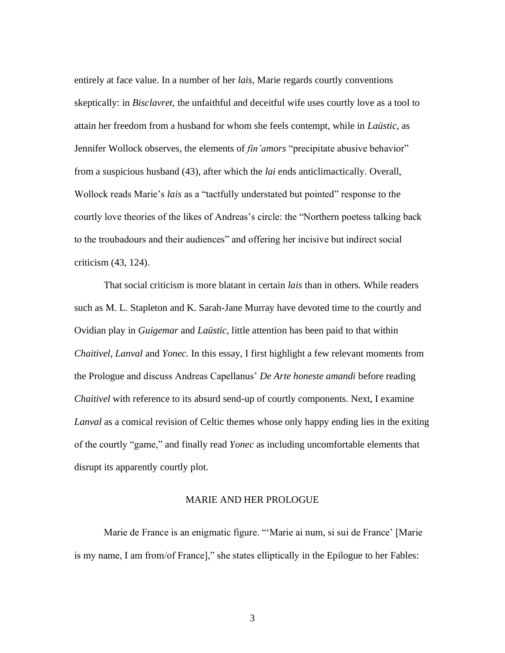entirely at face value. In a number of her *lais*, Marie regards courtly conventions skeptically: in *Bisclavret*, the unfaithful and deceitful wife uses courtly love as a tool to attain her freedom from a husband for whom she feels contempt, while in *Laüstic*, as Jennifer Wollock observes, the elements of *fin'amors* "precipitate abusive behavior" from a suspicious husband (43), after which the *lai* ends anticlimactically. Overall, Wollock reads Marie's *lais* as a "tactfully understated but pointed" response to the courtly love theories of the likes of Andreas's circle: the "Northern poetess talking back to the troubadours and their audiences" and offering her incisive but indirect social criticism (43, 124).

That social criticism is more blatant in certain *lais* than in others*.* While readers such as M. L. Stapleton and K. Sarah-Jane Murray have devoted time to the courtly and Ovidian play in *Guigemar* and *Laüstic*, little attention has been paid to that within *Chaitivel, Lanval* and *Yonec.* In this essay, I first highlight a few relevant moments from the Prologue and discuss Andreas Capellanus' *De Arte honeste amandi* before reading *Chaitivel* with reference to its absurd send-up of courtly components. Next, I examine *Lanval* as a comical revision of Celtic themes whose only happy ending lies in the exiting of the courtly "game," and finally read *Yonec* as including uncomfortable elements that disrupt its apparently courtly plot.

#### MARIE AND HER PROLOGUE

<span id="page-8-0"></span>Marie de France is an enigmatic figure. "'Marie ai num, si sui de France' [Marie is my name, I am from/of France]," she states elliptically in the Epilogue to her Fables: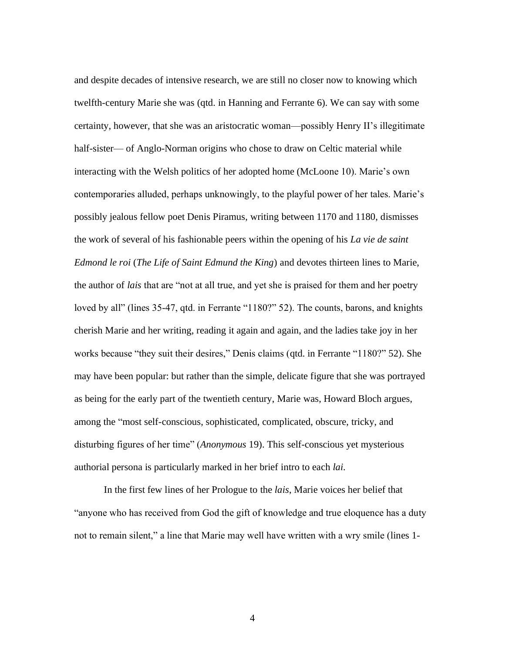and despite decades of intensive research, we are still no closer now to knowing which twelfth-century Marie she was (qtd. in Hanning and Ferrante 6). We can say with some certainty, however, that she was an aristocratic woman—possibly Henry II's illegitimate half-sister— of Anglo-Norman origins who chose to draw on Celtic material while interacting with the Welsh politics of her adopted home (McLoone 10). Marie's own contemporaries alluded, perhaps unknowingly, to the playful power of her tales. Marie's possibly jealous fellow poet Denis Piramus, writing between 1170 and 1180, dismisses the work of several of his fashionable peers within the opening of his *La vie de saint Edmond le roi* (*The Life of Saint Edmund the King*) and devotes thirteen lines to Marie, the author of *lais* that are "not at all true, and yet she is praised for them and her poetry loved by all" (lines 35-47, qtd. in Ferrante "1180?" 52). The counts, barons, and knights cherish Marie and her writing, reading it again and again, and the ladies take joy in her works because "they suit their desires," Denis claims (qtd. in Ferrante "1180?" 52). She may have been popular: but rather than the simple, delicate figure that she was portrayed as being for the early part of the twentieth century, Marie was, Howard Bloch argues, among the "most self-conscious, sophisticated, complicated, obscure, tricky, and disturbing figures of her time" (*Anonymous* 19). This self-conscious yet mysterious authorial persona is particularly marked in her brief intro to each *lai*.

In the first few lines of her Prologue to the *lais*, Marie voices her belief that "anyone who has received from God the gift of knowledge and true eloquence has a duty not to remain silent," a line that Marie may well have written with a wry smile (lines 1-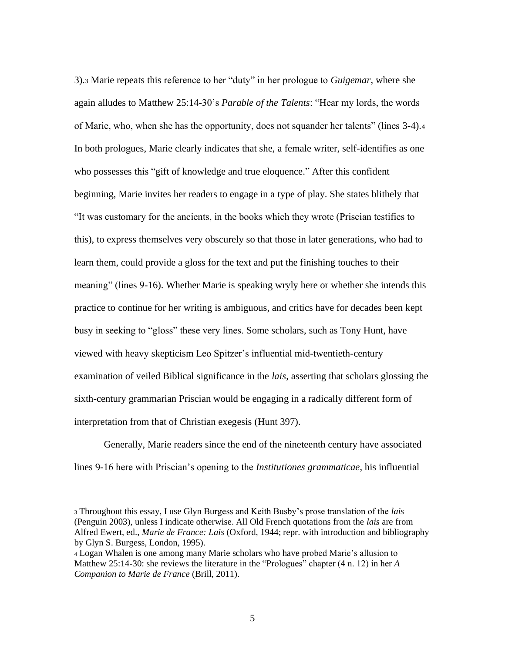3).<sup>3</sup> Marie repeats this reference to her "duty" in her prologue to *Guigemar*, where she again alludes to Matthew 25:14-30's *Parable of the Talents*: "Hear my lords, the words of Marie, who, when she has the opportunity, does not squander her talents" (lines 3-4).<sup>4</sup> In both prologues, Marie clearly indicates that she, a female writer, self-identifies as one who possesses this "gift of knowledge and true eloquence." After this confident beginning, Marie invites her readers to engage in a type of play. She states blithely that "It was customary for the ancients, in the books which they wrote (Priscian testifies to this), to express themselves very obscurely so that those in later generations, who had to learn them, could provide a gloss for the text and put the finishing touches to their meaning" (lines 9-16). Whether Marie is speaking wryly here or whether she intends this practice to continue for her writing is ambiguous, and critics have for decades been kept busy in seeking to "gloss" these very lines. Some scholars, such as Tony Hunt, have viewed with heavy skepticism Leo Spitzer's influential mid-twentieth-century examination of veiled Biblical significance in the *lais*, asserting that scholars glossing the sixth-century grammarian Priscian would be engaging in a radically different form of interpretation from that of Christian exegesis (Hunt 397).

Generally, Marie readers since the end of the nineteenth century have associated lines 9-16 here with Priscian's opening to the *Institutiones grammaticae*, his influential

<sup>3</sup> Throughout this essay, I use Glyn Burgess and Keith Busby's prose translation of the *lais* (Penguin 2003), unless I indicate otherwise. All Old French quotations from the *lais* are from Alfred Ewert, ed., *Marie de France: Lais* (Oxford, 1944; repr. with introduction and bibliography by Glyn S. Burgess, London, 1995).

<sup>4</sup> Logan Whalen is one among many Marie scholars who have probed Marie's allusion to Matthew 25:14-30: she reviews the literature in the "Prologues" chapter (4 n. 12) in her *A Companion to Marie de France* (Brill, 2011).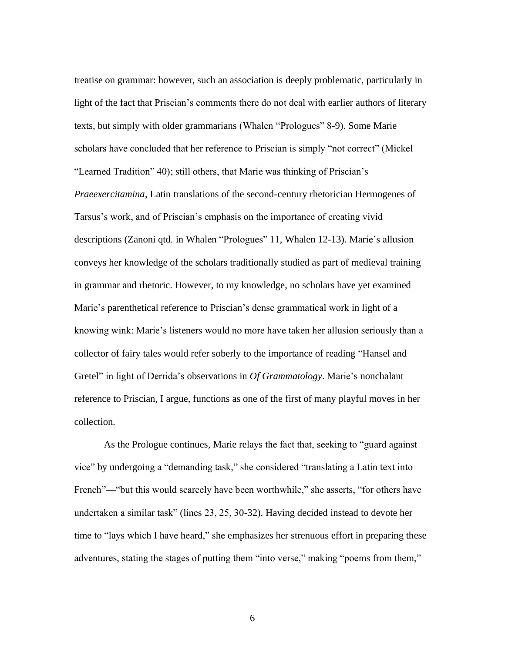treatise on grammar: however, such an association is deeply problematic, particularly in light of the fact that Priscian's comments there do not deal with earlier authors of literary texts, but simply with older grammarians (Whalen "Prologues" 8-9). Some Marie scholars have concluded that her reference to Priscian is simply "not correct" (Mickel "Learned Tradition" 40); still others, that Marie was thinking of Priscian's *Praeexercitamina*, Latin translations of the second-century rhetorician Hermogenes of Tarsus's work, and of Priscian's emphasis on the importance of creating vivid descriptions (Zanoni qtd. in Whalen "Prologues" 11, Whalen 12-13). Marie's allusion conveys her knowledge of the scholars traditionally studied as part of medieval training in grammar and rhetoric. However, to my knowledge, no scholars have yet examined Marie's parenthetical reference to Priscian's dense grammatical work in light of a knowing wink: Marie's listeners would no more have taken her allusion seriously than a collector of fairy tales would refer soberly to the importance of reading "Hansel and Gretel" in light of Derrida's observations in *Of Grammatology*. Marie's nonchalant reference to Priscian, I argue, functions as one of the first of many playful moves in her collection.

As the Prologue continues, Marie relays the fact that, seeking to "guard against vice" by undergoing a "demanding task," she considered "translating a Latin text into French"—"but this would scarcely have been worthwhile," she asserts, "for others have undertaken a similar task" (lines 23, 25, 30-32). Having decided instead to devote her time to "lays which I have heard," she emphasizes her strenuous effort in preparing these adventures, stating the stages of putting them "into verse," making "poems from them,"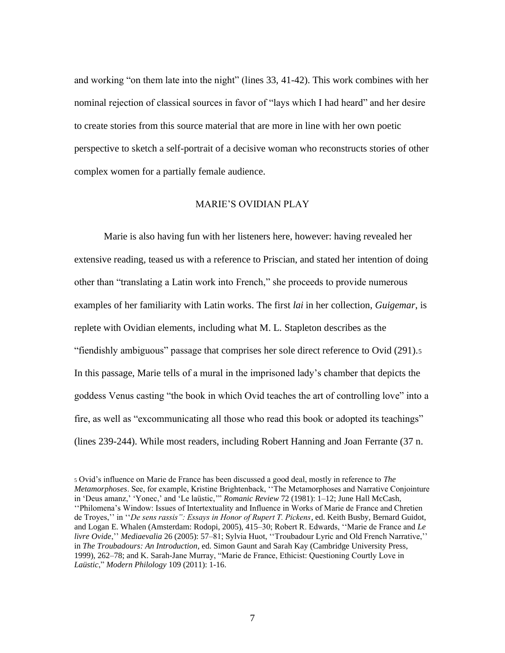and working "on them late into the night" (lines 33, 41-42). This work combines with her nominal rejection of classical sources in favor of "lays which I had heard" and her desire to create stories from this source material that are more in line with her own poetic perspective to sketch a self-portrait of a decisive woman who reconstructs stories of other complex women for a partially female audience.

## MARIE'S OVIDIAN PLAY

<span id="page-12-0"></span>Marie is also having fun with her listeners here, however: having revealed her extensive reading, teased us with a reference to Priscian, and stated her intention of doing other than "translating a Latin work into French," she proceeds to provide numerous examples of her familiarity with Latin works. The first *lai* in her collection, *Guigemar*, is replete with Ovidian elements, including what M. L. Stapleton describes as the "fiendishly ambiguous" passage that comprises her sole direct reference to Ovid (291).<sup>5</sup> In this passage, Marie tells of a mural in the imprisoned lady's chamber that depicts the goddess Venus casting "the book in which Ovid teaches the art of controlling love" into a fire, as well as "excommunicating all those who read this book or adopted its teachings" (lines 239-244). While most readers, including Robert Hanning and Joan Ferrante (37 n.

<sup>5</sup> Ovid's influence on Marie de France has been discussed a good deal, mostly in reference to *The Metamorphoses*. See, for example, Kristine Brightenback, ''The Metamorphoses and Narrative Conjointure in 'Deus amanz,' 'Yonec,' and 'Le laüstic,'" *Romanic Review* 72 (1981): 1–12; June Hall McCash, ''Philomena's Window: Issues of Intertextuality and Influence in Works of Marie de France and Chretien de Troyes,'' in ''*De sens rassis": Essays in Honor of Rupert T. Pickens*, ed. Keith Busby, Bernard Guidot, and Logan E. Whalen (Amsterdam: Rodopi, 2005), 415–30; Robert R. Edwards, ''Marie de France and *Le livre Ovide*,'' *Mediaevalia* 26 (2005): 57–81; Sylvia Huot, ''Troubadour Lyric and Old French Narrative,'' in *The Troubadours: An Introduction*, ed. Simon Gaunt and Sarah Kay (Cambridge University Press, 1999), 262–78; and K. Sarah-Jane Murray, "Marie de France, Ethicist: Questioning Courtly Love in *Laüstic*," *Modern Philology* 109 (2011): 1-16.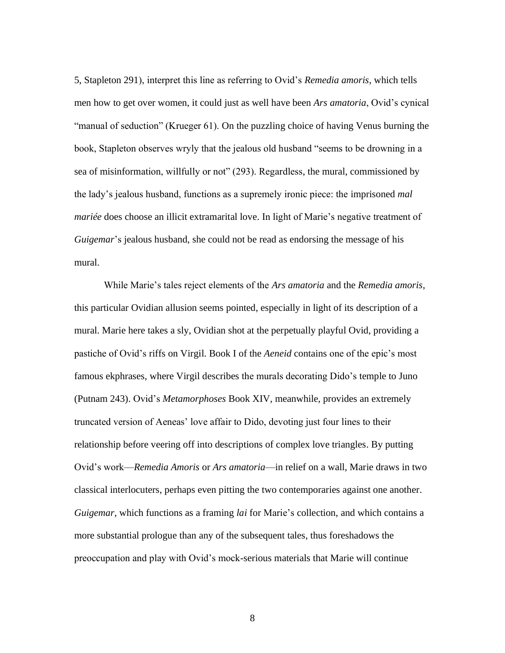5, Stapleton 291), interpret this line as referring to Ovid's *Remedia amoris*, which tells men how to get over women, it could just as well have been *Ars amatoria*, Ovid's cynical "manual of seduction" (Krueger 61). On the puzzling choice of having Venus burning the book, Stapleton observes wryly that the jealous old husband "seems to be drowning in a sea of misinformation, willfully or not" (293). Regardless, the mural, commissioned by the lady's jealous husband, functions as a supremely ironic piece: the imprisoned *mal mariée* does choose an illicit extramarital love. In light of Marie's negative treatment of *Guigemar*'s jealous husband, she could not be read as endorsing the message of his mural.

While Marie's tales reject elements of the *Ars amatoria* and the *Remedia amoris*, this particular Ovidian allusion seems pointed, especially in light of its description of a mural. Marie here takes a sly, Ovidian shot at the perpetually playful Ovid, providing a pastiche of Ovid's riffs on Virgil. Book I of the *Aeneid* contains one of the epic's most famous ekphrases, where Virgil describes the murals decorating Dido's temple to Juno (Putnam 243). Ovid's *Metamorphoses* Book XIV, meanwhile, provides an extremely truncated version of Aeneas' love affair to Dido, devoting just four lines to their relationship before veering off into descriptions of complex love triangles. By putting Ovid's work—*Remedia Amoris* or *Ars amatoria*—in relief on a wall, Marie draws in two classical interlocuters, perhaps even pitting the two contemporaries against one another. *Guigemar*, which functions as a framing *lai* for Marie's collection, and which contains a more substantial prologue than any of the subsequent tales, thus foreshadows the preoccupation and play with Ovid's mock-serious materials that Marie will continue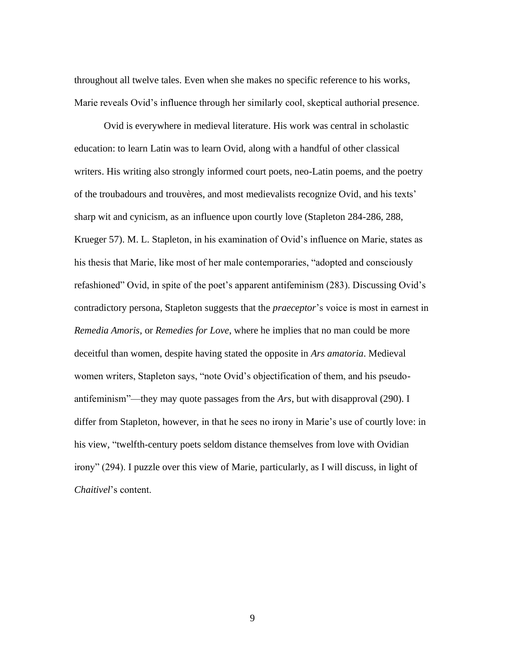throughout all twelve tales. Even when she makes no specific reference to his works, Marie reveals Ovid's influence through her similarly cool, skeptical authorial presence.

Ovid is everywhere in medieval literature. His work was central in scholastic education: to learn Latin was to learn Ovid, along with a handful of other classical writers. His writing also strongly informed court poets, neo-Latin poems, and the poetry of the troubadours and trouvères, and most medievalists recognize Ovid, and his texts' sharp wit and cynicism, as an influence upon courtly love (Stapleton 284-286, 288, Krueger 57). M. L. Stapleton, in his examination of Ovid's influence on Marie, states as his thesis that Marie, like most of her male contemporaries, "adopted and consciously refashioned" Ovid, in spite of the poet's apparent antifeminism (283). Discussing Ovid's contradictory persona, Stapleton suggests that the *praeceptor*'s voice is most in earnest in *Remedia Amoris*, or *Remedies for Love*, where he implies that no man could be more deceitful than women, despite having stated the opposite in *Ars amatoria*. Medieval women writers, Stapleton says, "note Ovid's objectification of them, and his pseudoantifeminism"—they may quote passages from the *Ars*, but with disapproval (290). I differ from Stapleton, however, in that he sees no irony in Marie's use of courtly love: in his view, "twelfth-century poets seldom distance themselves from love with Ovidian irony" (294). I puzzle over this view of Marie, particularly, as I will discuss, in light of *Chaitivel*'s content.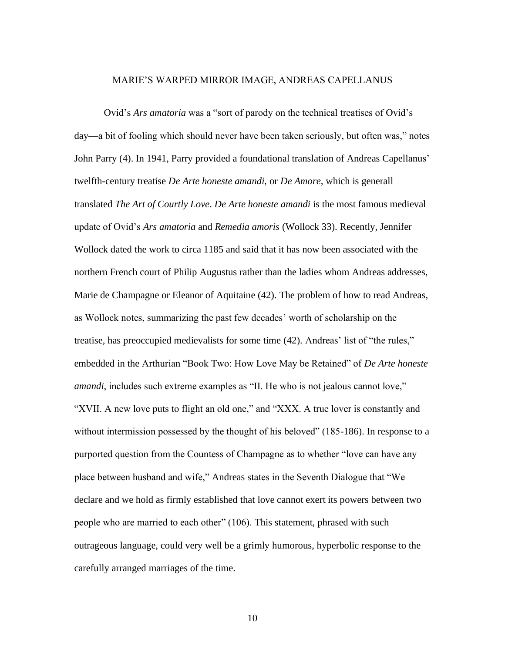#### MARIE'S WARPED MIRROR IMAGE, ANDREAS CAPELLANUS

<span id="page-15-0"></span>Ovid's *Ars amatoria* was a "sort of parody on the technical treatises of Ovid's day—a bit of fooling which should never have been taken seriously, but often was," notes John Parry (4). In 1941, Parry provided a foundational translation of Andreas Capellanus' twelfth-century treatise *De Arte honeste amandi,* or *De Amore,* which is generall translated *The Art of Courtly Love*. *De Arte honeste amandi* is the most famous medieval update of Ovid's *Ars amatoria* and *Remedia amoris* (Wollock 33). Recently, Jennifer Wollock dated the work to circa 1185 and said that it has now been associated with the northern French court of Philip Augustus rather than the ladies whom Andreas addresses, Marie de Champagne or Eleanor of Aquitaine (42). The problem of how to read Andreas, as Wollock notes, summarizing the past few decades' worth of scholarship on the treatise, has preoccupied medievalists for some time (42). Andreas' list of "the rules," embedded in the Arthurian "Book Two: How Love May be Retained" of *De Arte honeste amandi*, includes such extreme examples as "II. He who is not jealous cannot love," "XVII. A new love puts to flight an old one," and "XXX. A true lover is constantly and without intermission possessed by the thought of his beloved" (185-186). In response to a purported question from the Countess of Champagne as to whether "love can have any place between husband and wife," Andreas states in the Seventh Dialogue that "We declare and we hold as firmly established that love cannot exert its powers between two people who are married to each other" (106). This statement, phrased with such outrageous language, could very well be a grimly humorous, hyperbolic response to the carefully arranged marriages of the time.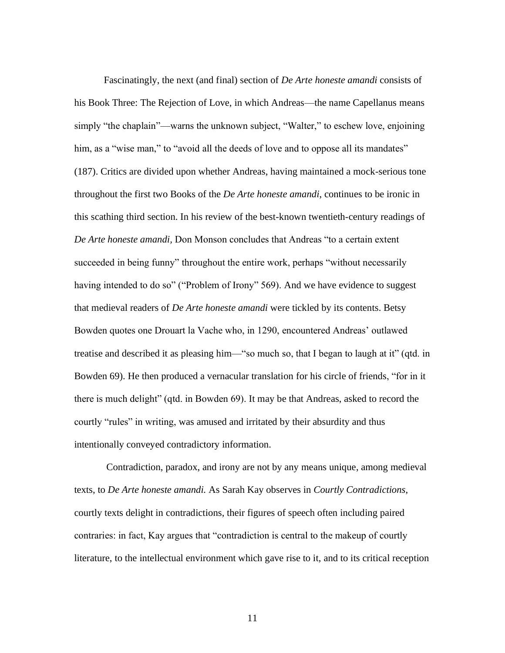Fascinatingly, the next (and final) section of *De Arte honeste amandi* consists of his Book Three: The Rejection of Love, in which Andreas—the name Capellanus means simply "the chaplain"—warns the unknown subject, "Walter," to eschew love, enjoining him, as a "wise man," to "avoid all the deeds of love and to oppose all its mandates" (187). Critics are divided upon whether Andreas, having maintained a mock-serious tone throughout the first two Books of the *De Arte honeste amandi*, continues to be ironic in this scathing third section. In his review of the best-known twentieth-century readings of *De Arte honeste amandi,* Don Monson concludes that Andreas "to a certain extent succeeded in being funny" throughout the entire work, perhaps "without necessarily having intended to do so" ("Problem of Irony" 569). And we have evidence to suggest that medieval readers of *De Arte honeste amandi* were tickled by its contents. Betsy Bowden quotes one Drouart la Vache who, in 1290, encountered Andreas' outlawed treatise and described it as pleasing him—"so much so, that I began to laugh at it" (qtd. in Bowden 69). He then produced a vernacular translation for his circle of friends, "for in it there is much delight" (qtd. in Bowden 69). It may be that Andreas, asked to record the courtly "rules" in writing, was amused and irritated by their absurdity and thus intentionally conveyed contradictory information.

Contradiction, paradox, and irony are not by any means unique, among medieval texts, to *De Arte honeste amandi.* As Sarah Kay observes in *Courtly Contradictions*, courtly texts delight in contradictions, their figures of speech often including paired contraries: in fact, Kay argues that "contradiction is central to the makeup of courtly literature, to the intellectual environment which gave rise to it, and to its critical reception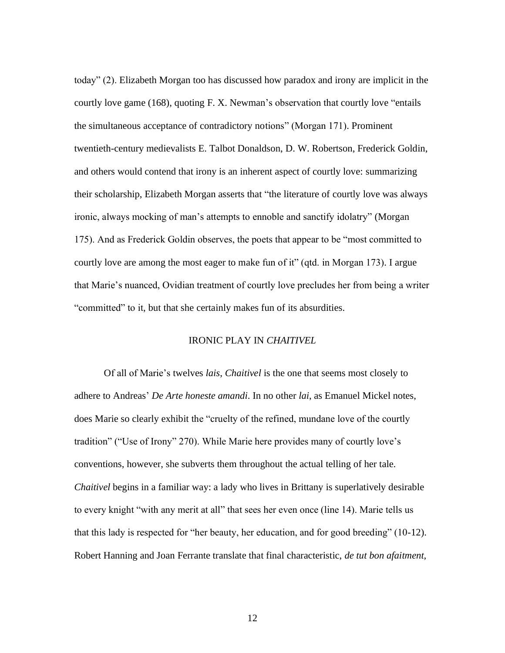today" (2). Elizabeth Morgan too has discussed how paradox and irony are implicit in the courtly love game (168), quoting F. X. Newman's observation that courtly love "entails the simultaneous acceptance of contradictory notions" (Morgan 171). Prominent twentieth-century medievalists E. Talbot Donaldson, D. W. Robertson, Frederick Goldin, and others would contend that irony is an inherent aspect of courtly love: summarizing their scholarship, Elizabeth Morgan asserts that "the literature of courtly love was always ironic, always mocking of man's attempts to ennoble and sanctify idolatry" (Morgan 175). And as Frederick Goldin observes, the poets that appear to be "most committed to courtly love are among the most eager to make fun of it" (qtd. in Morgan 173). I argue that Marie's nuanced, Ovidian treatment of courtly love precludes her from being a writer "committed" to it, but that she certainly makes fun of its absurdities.

## IRONIC PLAY IN *CHAITIVEL*

<span id="page-17-0"></span>Of all of Marie's twelves *lais*, *Chaitivel* is the one that seems most closely to adhere to Andreas' *De Arte honeste amandi*. In no other *lai*, as Emanuel Mickel notes, does Marie so clearly exhibit the "cruelty of the refined, mundane love of the courtly tradition" ("Use of Irony" 270). While Marie here provides many of courtly love's conventions, however, she subverts them throughout the actual telling of her tale. *Chaitivel* begins in a familiar way: a lady who lives in Brittany is superlatively desirable to every knight "with any merit at all" that sees her even once (line 14). Marie tells us that this lady is respected for "her beauty, her education, and for good breeding" (10-12). Robert Hanning and Joan Ferrante translate that final characteristic, *de tut bon afaitment,*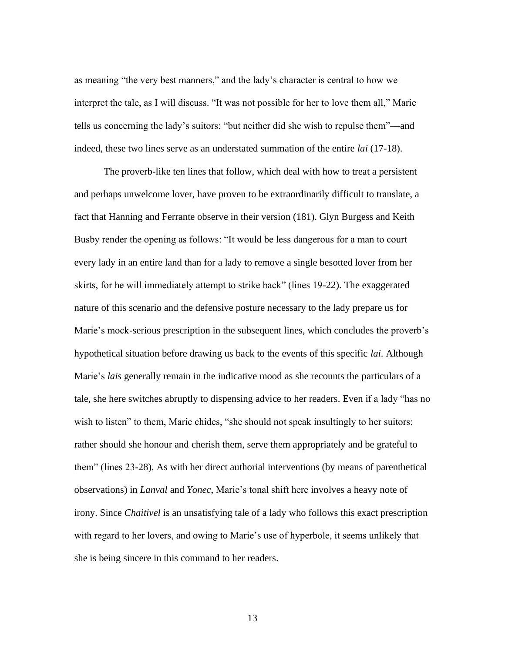as meaning "the very best manners," and the lady's character is central to how we interpret the tale, as I will discuss. "It was not possible for her to love them all," Marie tells us concerning the lady's suitors: "but neither did she wish to repulse them"—and indeed, these two lines serve as an understated summation of the entire *lai* (17-18).

The proverb-like ten lines that follow, which deal with how to treat a persistent and perhaps unwelcome lover, have proven to be extraordinarily difficult to translate, a fact that Hanning and Ferrante observe in their version (181). Glyn Burgess and Keith Busby render the opening as follows: "It would be less dangerous for a man to court every lady in an entire land than for a lady to remove a single besotted lover from her skirts, for he will immediately attempt to strike back" (lines 19-22). The exaggerated nature of this scenario and the defensive posture necessary to the lady prepare us for Marie's mock-serious prescription in the subsequent lines, which concludes the proverb's hypothetical situation before drawing us back to the events of this specific *lai*. Although Marie's *lais* generally remain in the indicative mood as she recounts the particulars of a tale, she here switches abruptly to dispensing advice to her readers. Even if a lady "has no wish to listen" to them, Marie chides, "she should not speak insultingly to her suitors: rather should she honour and cherish them, serve them appropriately and be grateful to them" (lines 23-28). As with her direct authorial interventions (by means of parenthetical observations) in *Lanval* and *Yonec*, Marie's tonal shift here involves a heavy note of irony. Since *Chaitivel* is an unsatisfying tale of a lady who follows this exact prescription with regard to her lovers, and owing to Marie's use of hyperbole, it seems unlikely that she is being sincere in this command to her readers.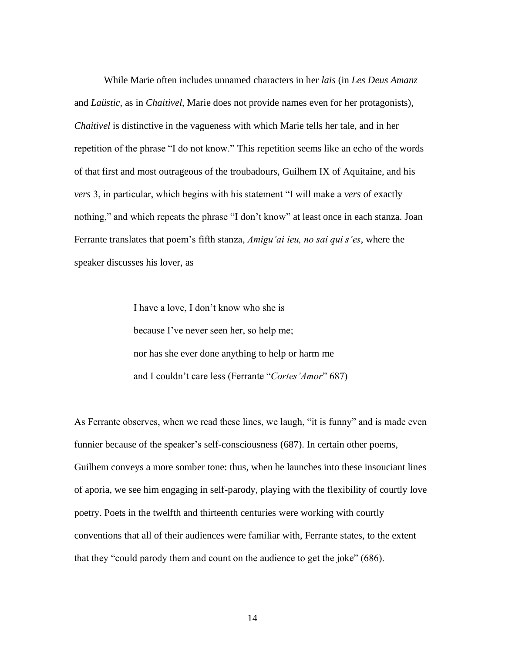While Marie often includes unnamed characters in her *lais* (in *Les Deus Amanz* and *Laüstic,* as in *Chaitivel,* Marie does not provide names even for her protagonists), *Chaitivel* is distinctive in the vagueness with which Marie tells her tale, and in her repetition of the phrase "I do not know." This repetition seems like an echo of the words of that first and most outrageous of the troubadours, Guilhem IX of Aquitaine, and his *vers* 3, in particular, which begins with his statement "I will make a *vers* of exactly nothing," and which repeats the phrase "I don't know" at least once in each stanza. Joan Ferrante translates that poem's fifth stanza, *Amigu'ai ieu, no sai qui s'es*, where the speaker discusses his lover, as

> I have a love, I don't know who she is because I've never seen her, so help me; nor has she ever done anything to help or harm me and I couldn't care less (Ferrante "*Cortes'Amor*" 687)

As Ferrante observes, when we read these lines, we laugh, "it is funny" and is made even funnier because of the speaker's self-consciousness (687). In certain other poems, Guilhem conveys a more somber tone: thus, when he launches into these insouciant lines of aporia, we see him engaging in self-parody, playing with the flexibility of courtly love poetry. Poets in the twelfth and thirteenth centuries were working with courtly conventions that all of their audiences were familiar with, Ferrante states, to the extent that they "could parody them and count on the audience to get the joke" (686).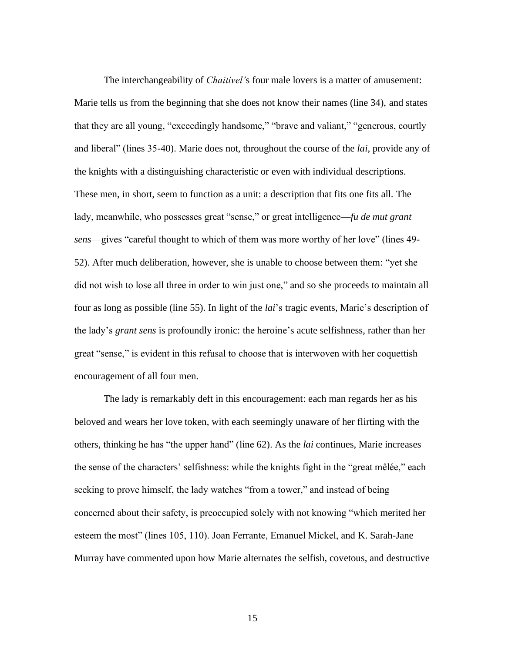The interchangeability of *Chaitivel'*s four male lovers is a matter of amusement: Marie tells us from the beginning that she does not know their names (line 34), and states that they are all young, "exceedingly handsome," "brave and valiant," "generous, courtly and liberal" (lines 35-40). Marie does not, throughout the course of the *lai*, provide any of the knights with a distinguishing characteristic or even with individual descriptions. These men, in short, seem to function as a unit: a description that fits one fits all. The lady, meanwhile, who possesses great "sense," or great intelligence—*fu de mut grant sens*—gives "careful thought to which of them was more worthy of her love" (lines 49- 52). After much deliberation, however, she is unable to choose between them: "yet she did not wish to lose all three in order to win just one," and so she proceeds to maintain all four as long as possible (line 55). In light of the *lai*'s tragic events*,* Marie's description of the lady's *grant sens* is profoundly ironic: the heroine's acute selfishness, rather than her great "sense," is evident in this refusal to choose that is interwoven with her coquettish encouragement of all four men.

The lady is remarkably deft in this encouragement: each man regards her as his beloved and wears her love token, with each seemingly unaware of her flirting with the others, thinking he has "the upper hand" (line 62). As the *lai* continues, Marie increases the sense of the characters' selfishness: while the knights fight in the "great mêlée," each seeking to prove himself, the lady watches "from a tower," and instead of being concerned about their safety, is preoccupied solely with not knowing "which merited her esteem the most" (lines 105, 110). Joan Ferrante, Emanuel Mickel, and K. Sarah-Jane Murray have commented upon how Marie alternates the selfish, covetous, and destructive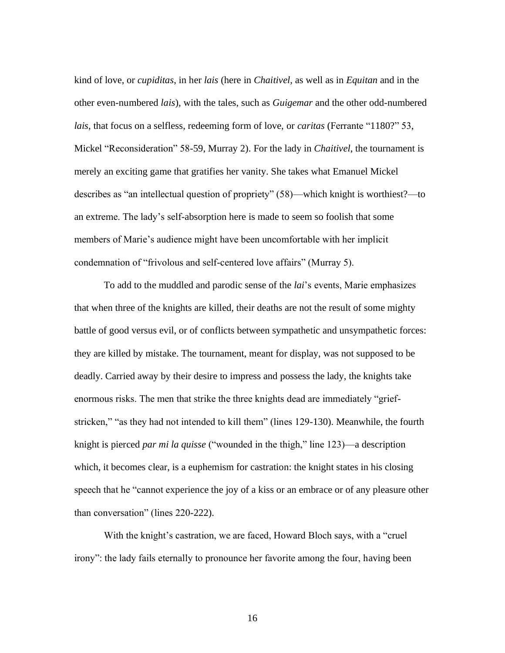kind of love, or *cupiditas*, in her *lais* (here in *Chaitivel,* as well as in *Equitan* and in the other even-numbered *lais*)*,* with the tales, such as *Guigemar* and the other odd-numbered *lais*, that focus on a selfless, redeeming form of love, or *caritas* (Ferrante "1180?" 53, Mickel "Reconsideration" 58-59, Murray 2). For the lady in *Chaitivel*, the tournament is merely an exciting game that gratifies her vanity. She takes what Emanuel Mickel describes as "an intellectual question of propriety" (58)—which knight is worthiest?—to an extreme. The lady's self-absorption here is made to seem so foolish that some members of Marie's audience might have been uncomfortable with her implicit condemnation of "frivolous and self-centered love affairs" (Murray 5).

To add to the muddled and parodic sense of the *lai*'s events, Marie emphasizes that when three of the knights are killed, their deaths are not the result of some mighty battle of good versus evil, or of conflicts between sympathetic and unsympathetic forces: they are killed by mistake. The tournament, meant for display, was not supposed to be deadly. Carried away by their desire to impress and possess the lady, the knights take enormous risks. The men that strike the three knights dead are immediately "griefstricken," "as they had not intended to kill them" (lines 129-130). Meanwhile, the fourth knight is pierced *par mi la quisse* ("wounded in the thigh," line 123)—a description which, it becomes clear, is a euphemism for castration: the knight states in his closing speech that he "cannot experience the joy of a kiss or an embrace or of any pleasure other than conversation" (lines 220-222).

With the knight's castration, we are faced, Howard Bloch says, with a "cruel irony": the lady fails eternally to pronounce her favorite among the four, having been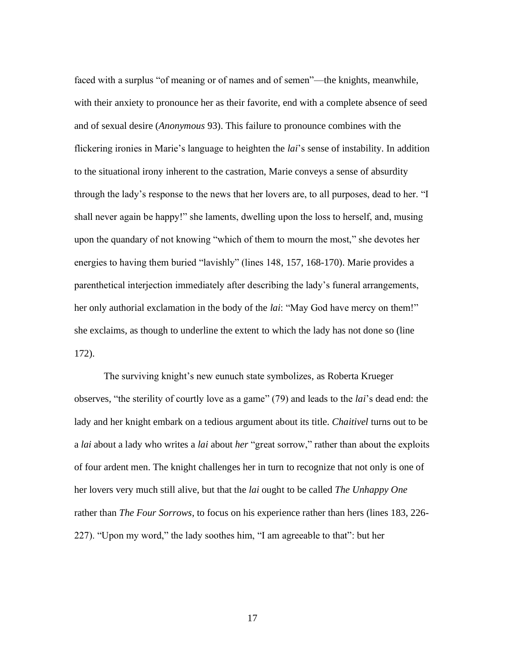faced with a surplus "of meaning or of names and of semen"—the knights, meanwhile, with their anxiety to pronounce her as their favorite, end with a complete absence of seed and of sexual desire (*Anonymous* 93). This failure to pronounce combines with the flickering ironies in Marie's language to heighten the *lai*'s sense of instability. In addition to the situational irony inherent to the castration, Marie conveys a sense of absurdity through the lady's response to the news that her lovers are, to all purposes, dead to her. "I shall never again be happy!" she laments, dwelling upon the loss to herself, and, musing upon the quandary of not knowing "which of them to mourn the most," she devotes her energies to having them buried "lavishly" (lines 148, 157, 168-170). Marie provides a parenthetical interjection immediately after describing the lady's funeral arrangements, her only authorial exclamation in the body of the *lai*: "May God have mercy on them!" she exclaims, as though to underline the extent to which the lady has not done so (line 172).

The surviving knight's new eunuch state symbolizes, as Roberta Krueger observes, "the sterility of courtly love as a game" (79) and leads to the *lai*'s dead end: the lady and her knight embark on a tedious argument about its title. *Chaitivel* turns out to be a *lai* about a lady who writes a *lai* about *her* "great sorrow," rather than about the exploits of four ardent men. The knight challenges her in turn to recognize that not only is one of her lovers very much still alive, but that the *lai* ought to be called *The Unhappy One* rather than *The Four Sorrows*, to focus on his experience rather than hers (lines 183, 226- 227). "Upon my word," the lady soothes him, "I am agreeable to that": but her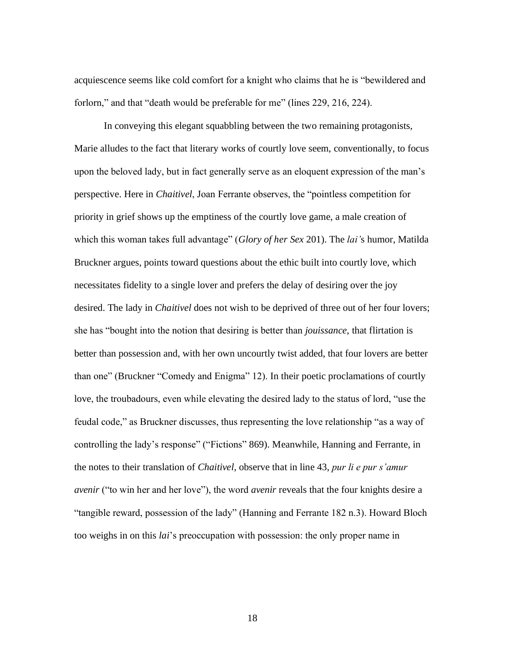acquiescence seems like cold comfort for a knight who claims that he is "bewildered and forlorn," and that "death would be preferable for me" (lines 229, 216, 224).

In conveying this elegant squabbling between the two remaining protagonists, Marie alludes to the fact that literary works of courtly love seem, conventionally, to focus upon the beloved lady, but in fact generally serve as an eloquent expression of the man's perspective. Here in *Chaitivel*, Joan Ferrante observes, the "pointless competition for priority in grief shows up the emptiness of the courtly love game, a male creation of which this woman takes full advantage" (*Glory of her Sex* 201). The *lai'*s humor, Matilda Bruckner argues, points toward questions about the ethic built into courtly love, which necessitates fidelity to a single lover and prefers the delay of desiring over the joy desired. The lady in *Chaitivel* does not wish to be deprived of three out of her four lovers; she has "bought into the notion that desiring is better than *jouissance*, that flirtation is better than possession and, with her own uncourtly twist added, that four lovers are better than one" (Bruckner "Comedy and Enigma" 12). In their poetic proclamations of courtly love, the troubadours, even while elevating the desired lady to the status of lord, "use the feudal code," as Bruckner discusses, thus representing the love relationship "as a way of controlling the lady's response" ("Fictions" 869). Meanwhile, Hanning and Ferrante, in the notes to their translation of *Chaitivel*, observe that in line 43, *pur li e pur s'amur avenir* ("to win her and her love"), the word *avenir* reveals that the four knights desire a "tangible reward, possession of the lady" (Hanning and Ferrante 182 n.3). Howard Bloch too weighs in on this *lai*'s preoccupation with possession: the only proper name in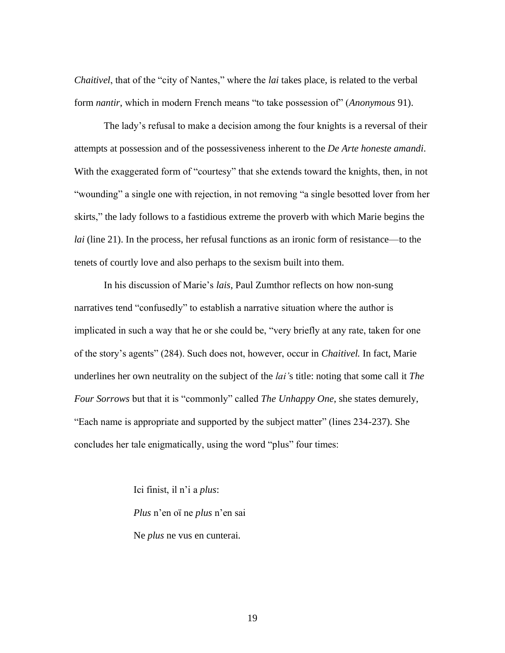*Chaitivel*, that of the "city of Nantes," where the *lai* takes place, is related to the verbal form *nantir*, which in modern French means "to take possession of" (*Anonymous* 91).

The lady's refusal to make a decision among the four knights is a reversal of their attempts at possession and of the possessiveness inherent to the *De Arte honeste amandi*. With the exaggerated form of "courtesy" that she extends toward the knights, then, in not "wounding" a single one with rejection, in not removing "a single besotted lover from her skirts," the lady follows to a fastidious extreme the proverb with which Marie begins the *lai* (line 21). In the process, her refusal functions as an ironic form of resistance—to the tenets of courtly love and also perhaps to the sexism built into them.

In his discussion of Marie's *lais*, Paul Zumthor reflects on how non-sung narratives tend "confusedly" to establish a narrative situation where the author is implicated in such a way that he or she could be, "very briefly at any rate, taken for one of the story's agents" (284). Such does not, however, occur in *Chaitivel.* In fact, Marie underlines her own neutrality on the subject of the *lai'*s title: noting that some call it *The Four Sorrows* but that it is "commonly" called *The Unhappy One*, she states demurely, "Each name is appropriate and supported by the subject matter" (lines 234-237). She concludes her tale enigmatically, using the word "plus" four times:

> Ici finist, il n'i a *plus*: *Plus* n'en oï ne *plus* n'en sai Ne *plus* ne vus en cunterai.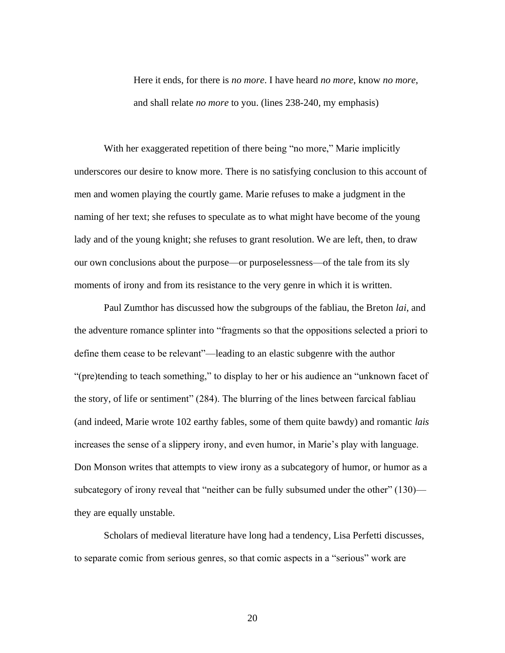Here it ends, for there is *no more*. I have heard *no more*, know *no more*, and shall relate *no more* to you. (lines 238-240, my emphasis)

With her exaggerated repetition of there being "no more," Marie implicitly underscores our desire to know more. There is no satisfying conclusion to this account of men and women playing the courtly game. Marie refuses to make a judgment in the naming of her text; she refuses to speculate as to what might have become of the young lady and of the young knight; she refuses to grant resolution. We are left, then, to draw our own conclusions about the purpose—or purposelessness—of the tale from its sly moments of irony and from its resistance to the very genre in which it is written.

Paul Zumthor has discussed how the subgroups of the fabliau, the Breton *lai*, and the adventure romance splinter into "fragments so that the oppositions selected a priori to define them cease to be relevant"—leading to an elastic subgenre with the author "(pre)tending to teach something," to display to her or his audience an "unknown facet of the story, of life or sentiment" (284). The blurring of the lines between farcical fabliau (and indeed, Marie wrote 102 earthy fables, some of them quite bawdy) and romantic *lais* increases the sense of a slippery irony, and even humor, in Marie's play with language. Don Monson writes that attempts to view irony as a subcategory of humor, or humor as a subcategory of irony reveal that "neither can be fully subsumed under the other" (130) they are equally unstable.

Scholars of medieval literature have long had a tendency, Lisa Perfetti discusses, to separate comic from serious genres, so that comic aspects in a "serious" work are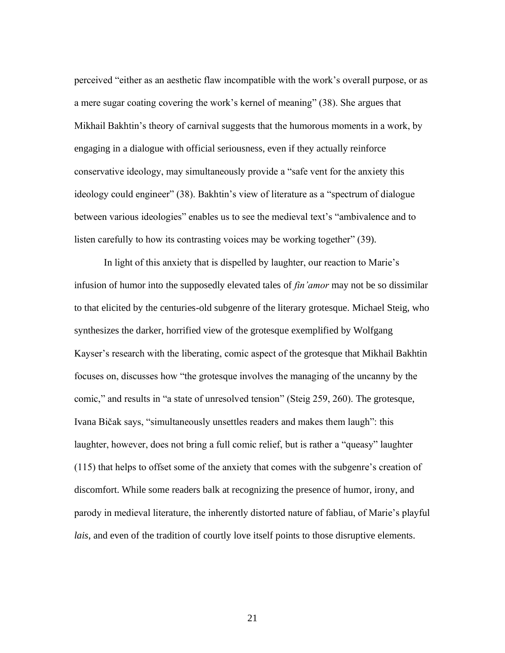perceived "either as an aesthetic flaw incompatible with the work's overall purpose, or as a mere sugar coating covering the work's kernel of meaning" (38). She argues that Mikhail Bakhtin's theory of carnival suggests that the humorous moments in a work, by engaging in a dialogue with official seriousness, even if they actually reinforce conservative ideology, may simultaneously provide a "safe vent for the anxiety this ideology could engineer" (38). Bakhtin's view of literature as a "spectrum of dialogue between various ideologies" enables us to see the medieval text's "ambivalence and to listen carefully to how its contrasting voices may be working together" (39).

In light of this anxiety that is dispelled by laughter, our reaction to Marie's infusion of humor into the supposedly elevated tales of *fin'amor* may not be so dissimilar to that elicited by the centuries-old subgenre of the literary grotesque. Michael Steig, who synthesizes the darker, horrified view of the grotesque exemplified by Wolfgang Kayser's research with the liberating, comic aspect of the grotesque that Mikhail Bakhtin focuses on, discusses how "the grotesque involves the managing of the uncanny by the comic," and results in "a state of unresolved tension" (Steig 259, 260). The grotesque, Ivana Bičak says, "simultaneously unsettles readers and makes them laugh": this laughter, however, does not bring a full comic relief, but is rather a "queasy" laughter (115) that helps to offset some of the anxiety that comes with the subgenre's creation of discomfort. While some readers balk at recognizing the presence of humor, irony, and parody in medieval literature, the inherently distorted nature of fabliau, of Marie's playful *lais*, and even of the tradition of courtly love itself points to those disruptive elements.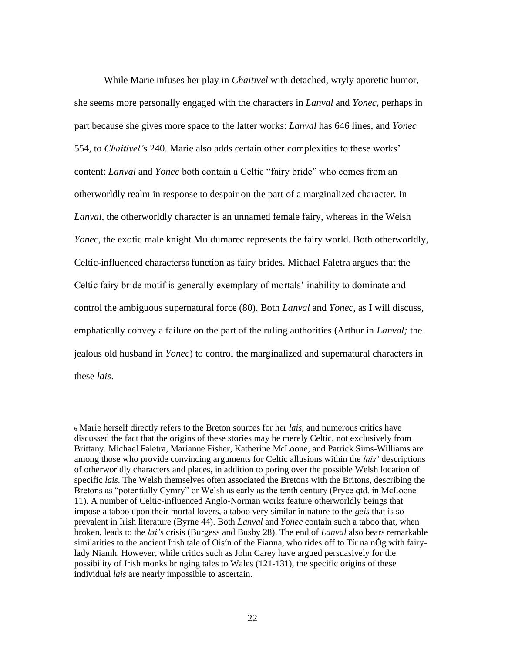While Marie infuses her play in *Chaitivel* with detached, wryly aporetic humor, she seems more personally engaged with the characters in *Lanval* and *Yonec*, perhaps in part because she gives more space to the latter works: *Lanval* has 646 lines, and *Yonec* 554, to *Chaitivel'*s 240. Marie also adds certain other complexities to these works' content: *Lanval* and *Yonec* both contain a Celtic "fairy bride" who comes from an otherworldly realm in response to despair on the part of a marginalized character. In *Lanval*, the otherworldly character is an unnamed female fairy, whereas in the Welsh *Yonec*, the exotic male knight Muldumarec represents the fairy world. Both otherworldly, Celtic-influenced characters<sup>6</sup> function as fairy brides. Michael Faletra argues that the Celtic fairy bride motif is generally exemplary of mortals' inability to dominate and control the ambiguous supernatural force (80). Both *Lanval* and *Yonec*, as I will discuss, emphatically convey a failure on the part of the ruling authorities (Arthur in *Lanval;* the jealous old husband in *Yonec*) to control the marginalized and supernatural characters in these *lais*.

<sup>6</sup> Marie herself directly refers to the Breton sources for her *lais*, and numerous critics have discussed the fact that the origins of these stories may be merely Celtic, not exclusively from Brittany. Michael Faletra, Marianne Fisher, Katherine McLoone, and Patrick Sims-Williams are among those who provide convincing arguments for Celtic allusions within the *lais'* descriptions of otherworldly characters and places, in addition to poring over the possible Welsh location of specific *lais*. The Welsh themselves often associated the Bretons with the Britons, describing the Bretons as "potentially Cymry" or Welsh as early as the tenth century (Pryce qtd. in McLoone 11). A number of Celtic-influenced Anglo-Norman works feature otherworldly beings that impose a taboo upon their mortal lovers, a taboo very similar in nature to the *geis* that is so prevalent in Irish literature (Byrne 44). Both *Lanval* and *Yonec* contain such a taboo that, when broken, leads to the *lai'*s crisis (Burgess and Busby 28). The end of *Lanval* also bears remarkable similarities to the ancient Irish tale of Oisín of the Fianna, who rides off to Tír na nÓg with fairylady Niamh. However, while critics such as John Carey have argued persuasively for the possibility of Irish monks bringing tales to Wales (121-131), the specific origins of these individual *lais* are nearly impossible to ascertain.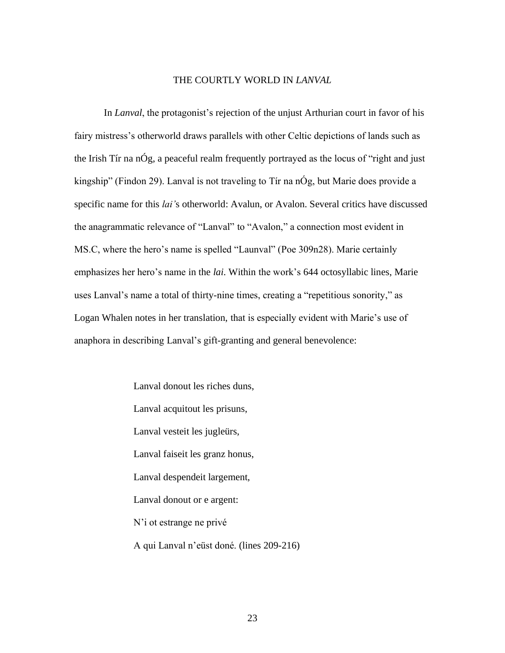#### THE COURTLY WORLD IN *LANVAL*

<span id="page-28-0"></span>In *Lanval*, the protagonist's rejection of the unjust Arthurian court in favor of his fairy mistress's otherworld draws parallels with other Celtic depictions of lands such as the Irish Tír na nÓg, a peaceful realm frequently portrayed as the locus of "right and just kingship" (Findon 29). Lanval is not traveling to Tír na nÓg, but Marie does provide a specific name for this *lai'*s otherworld: Avalun, or Avalon. Several critics have discussed the anagrammatic relevance of "Lanval" to "Avalon," a connection most evident in MS.C, where the hero's name is spelled "Launval" (Poe 309n28). Marie certainly emphasizes her hero's name in the *lai*. Within the work's 644 octosyllabic lines, Marie uses Lanval's name a total of thirty-nine times, creating a "repetitious sonority," as Logan Whalen notes in her translation, that is especially evident with Marie's use of anaphora in describing Lanval's gift-granting and general benevolence:

> Lanval donout les riches duns, Lanval acquitout les prisuns, Lanval vesteit les jugleürs, Lanval faiseit les granz honus, Lanval despendeit largement, Lanval donout or e argent: N'i ot estrange ne privé A qui Lanval n'eüst doné. (lines 209-216)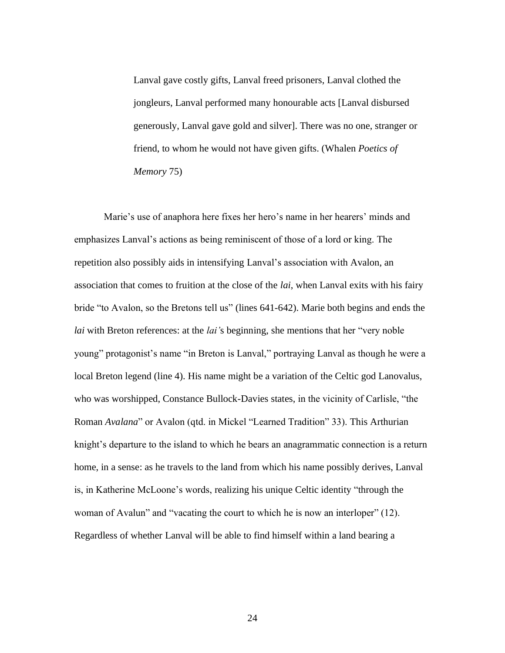Lanval gave costly gifts, Lanval freed prisoners, Lanval clothed the jongleurs, Lanval performed many honourable acts [Lanval disbursed generously, Lanval gave gold and silver]. There was no one, stranger or friend, to whom he would not have given gifts. (Whalen *Poetics of Memory* 75)

Marie's use of anaphora here fixes her hero's name in her hearers' minds and emphasizes Lanval's actions as being reminiscent of those of a lord or king. The repetition also possibly aids in intensifying Lanval's association with Avalon, an association that comes to fruition at the close of the *lai*, when Lanval exits with his fairy bride "to Avalon, so the Bretons tell us" (lines 641-642). Marie both begins and ends the *lai* with Breton references: at the *lai'*s beginning, she mentions that her "very noble young" protagonist's name "in Breton is Lanval," portraying Lanval as though he were a local Breton legend (line 4). His name might be a variation of the Celtic god Lanovalus, who was worshipped, Constance Bullock-Davies states, in the vicinity of Carlisle, "the Roman *Avalana*" or Avalon (qtd. in Mickel "Learned Tradition" 33). This Arthurian knight's departure to the island to which he bears an anagrammatic connection is a return home, in a sense: as he travels to the land from which his name possibly derives, Lanval is, in Katherine McLoone's words, realizing his unique Celtic identity "through the woman of Avalun" and "vacating the court to which he is now an interloper" (12). Regardless of whether Lanval will be able to find himself within a land bearing a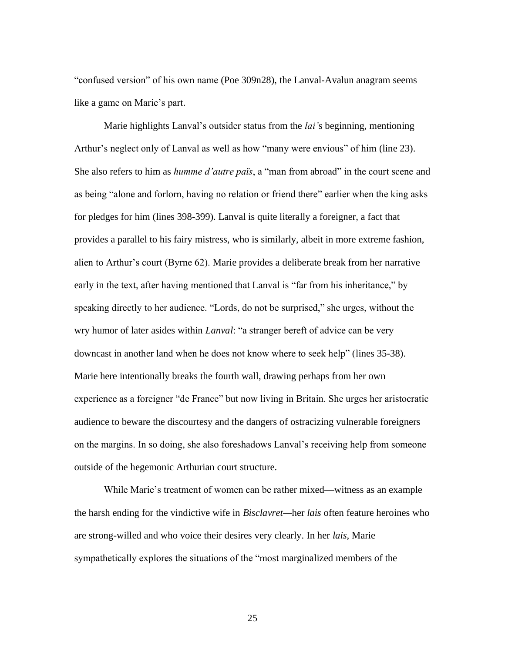"confused version" of his own name (Poe 309n28), the Lanval-Avalun anagram seems like a game on Marie's part.

Marie highlights Lanval's outsider status from the *lai'*s beginning, mentioning Arthur's neglect only of Lanval as well as how "many were envious" of him (line 23). She also refers to him as *humme d'autre païs*, a "man from abroad" in the court scene and as being "alone and forlorn, having no relation or friend there" earlier when the king asks for pledges for him (lines 398-399). Lanval is quite literally a foreigner, a fact that provides a parallel to his fairy mistress, who is similarly, albeit in more extreme fashion, alien to Arthur's court (Byrne 62). Marie provides a deliberate break from her narrative early in the text, after having mentioned that Lanval is "far from his inheritance," by speaking directly to her audience. "Lords, do not be surprised," she urges, without the wry humor of later asides within *Lanval*: "a stranger bereft of advice can be very downcast in another land when he does not know where to seek help" (lines 35-38). Marie here intentionally breaks the fourth wall, drawing perhaps from her own experience as a foreigner "de France" but now living in Britain. She urges her aristocratic audience to beware the discourtesy and the dangers of ostracizing vulnerable foreigners on the margins. In so doing, she also foreshadows Lanval's receiving help from someone outside of the hegemonic Arthurian court structure.

While Marie's treatment of women can be rather mixed—witness as an example the harsh ending for the vindictive wife in *Bisclavret—*her *lais* often feature heroines who are strong-willed and who voice their desires very clearly. In her *lais,* Marie sympathetically explores the situations of the "most marginalized members of the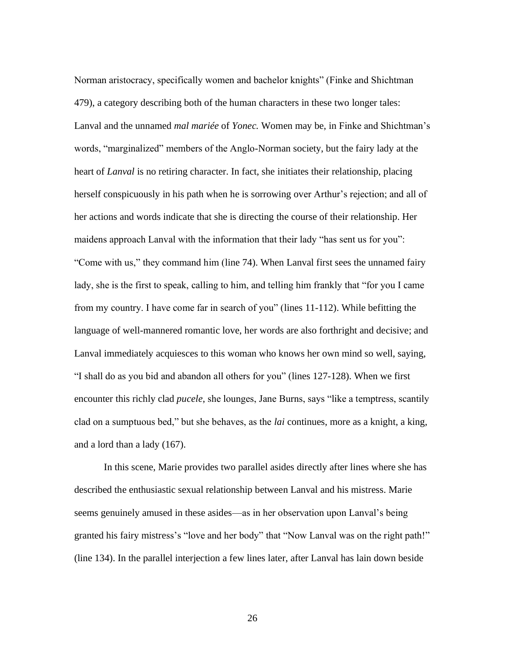Norman aristocracy, specifically women and bachelor knights" (Finke and Shichtman 479), a category describing both of the human characters in these two longer tales: Lanval and the unnamed *mal mariée* of *Yonec.* Women may be, in Finke and Shichtman's words, "marginalized" members of the Anglo-Norman society, but the fairy lady at the heart of *Lanval* is no retiring character. In fact, she initiates their relationship, placing herself conspicuously in his path when he is sorrowing over Arthur's rejection; and all of her actions and words indicate that she is directing the course of their relationship. Her maidens approach Lanval with the information that their lady "has sent us for you": "Come with us," they command him (line 74). When Lanval first sees the unnamed fairy lady, she is the first to speak, calling to him, and telling him frankly that "for you I came from my country. I have come far in search of you" (lines 11-112). While befitting the language of well-mannered romantic love, her words are also forthright and decisive; and Lanval immediately acquiesces to this woman who knows her own mind so well, saying, "I shall do as you bid and abandon all others for you" (lines 127-128). When we first encounter this richly clad *pucele*, she lounges, Jane Burns, says "like a temptress, scantily clad on a sumptuous bed," but she behaves, as the *lai* continues, more as a knight, a king, and a lord than a lady (167).

In this scene, Marie provides two parallel asides directly after lines where she has described the enthusiastic sexual relationship between Lanval and his mistress. Marie seems genuinely amused in these asides—as in her observation upon Lanval's being granted his fairy mistress's "love and her body" that "Now Lanval was on the right path!" (line 134). In the parallel interjection a few lines later, after Lanval has lain down beside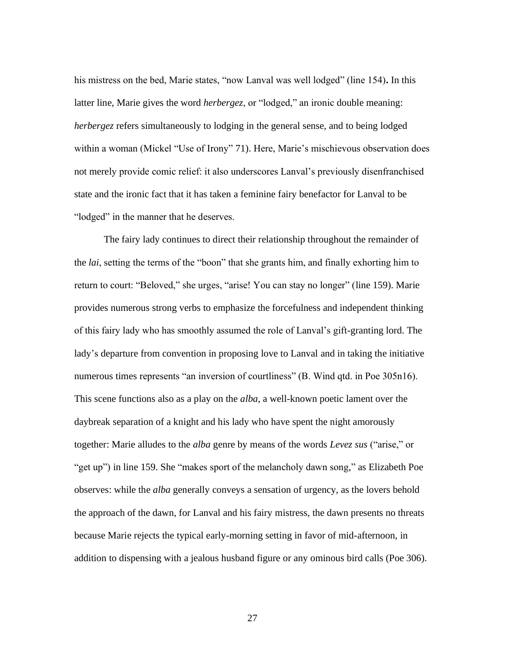his mistress on the bed, Marie states, "now Lanval was well lodged" (line 154)**.** In this latter line, Marie gives the word *herbergez*, or "lodged," an ironic double meaning: *herbergez* refers simultaneously to lodging in the general sense, and to being lodged within a woman (Mickel "Use of Irony" 71). Here, Marie's mischievous observation does not merely provide comic relief: it also underscores Lanval's previously disenfranchised state and the ironic fact that it has taken a feminine fairy benefactor for Lanval to be "lodged" in the manner that he deserves.

The fairy lady continues to direct their relationship throughout the remainder of the *lai*, setting the terms of the "boon" that she grants him, and finally exhorting him to return to court: "Beloved," she urges, "arise! You can stay no longer" (line 159). Marie provides numerous strong verbs to emphasize the forcefulness and independent thinking of this fairy lady who has smoothly assumed the role of Lanval's gift-granting lord. The lady's departure from convention in proposing love to Lanval and in taking the initiative numerous times represents "an inversion of courtliness" (B. Wind qtd. in Poe 305n16). This scene functions also as a play on the *alba*, a well-known poetic lament over the daybreak separation of a knight and his lady who have spent the night amorously together: Marie alludes to the *alba* genre by means of the words *Levez sus* ("arise," or "get up") in line 159. She "makes sport of the melancholy dawn song," as Elizabeth Poe observes: while the *alba* generally conveys a sensation of urgency, as the lovers behold the approach of the dawn, for Lanval and his fairy mistress, the dawn presents no threats because Marie rejects the typical early-morning setting in favor of mid-afternoon, in addition to dispensing with a jealous husband figure or any ominous bird calls (Poe 306).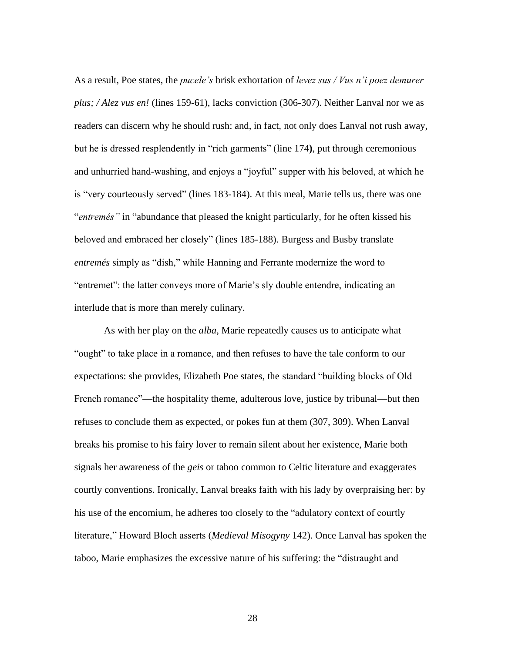As a result, Poe states, the *pucele's* brisk exhortation of *levez sus / Vus n'i poez demurer plus; / Alez vus en!* (lines 159-61), lacks conviction (306-307). Neither Lanval nor we as readers can discern why he should rush: and, in fact, not only does Lanval not rush away, but he is dressed resplendently in "rich garments" (line 174**)**, put through ceremonious and unhurried hand-washing, and enjoys a "joyful" supper with his beloved, at which he is "very courteously served" (lines 183-184). At this meal, Marie tells us, there was one "*entremés"* in "abundance that pleased the knight particularly, for he often kissed his beloved and embraced her closely" (lines 185-188). Burgess and Busby translate *entremés* simply as "dish," while Hanning and Ferrante modernize the word to "entremet": the latter conveys more of Marie's sly double entendre, indicating an interlude that is more than merely culinary.

As with her play on the *alba*, Marie repeatedly causes us to anticipate what "ought" to take place in a romance, and then refuses to have the tale conform to our expectations: she provides, Elizabeth Poe states, the standard "building blocks of Old French romance"—the hospitality theme, adulterous love, justice by tribunal—but then refuses to conclude them as expected, or pokes fun at them (307, 309). When Lanval breaks his promise to his fairy lover to remain silent about her existence, Marie both signals her awareness of the *geis* or taboo common to Celtic literature and exaggerates courtly conventions. Ironically, Lanval breaks faith with his lady by overpraising her: by his use of the encomium, he adheres too closely to the "adulatory context of courtly literature," Howard Bloch asserts (*Medieval Misogyny* 142). Once Lanval has spoken the taboo, Marie emphasizes the excessive nature of his suffering: the "distraught and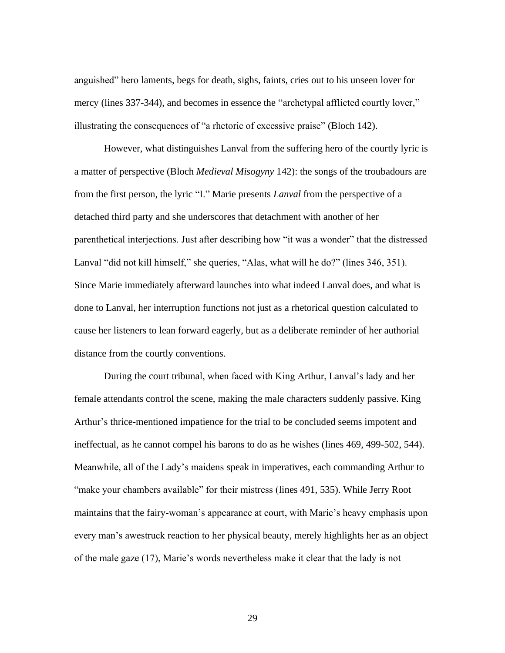anguished" hero laments, begs for death, sighs, faints, cries out to his unseen lover for mercy (lines 337-344), and becomes in essence the "archetypal afflicted courtly lover," illustrating the consequences of "a rhetoric of excessive praise" (Bloch 142).

However, what distinguishes Lanval from the suffering hero of the courtly lyric is a matter of perspective (Bloch *Medieval Misogyny* 142): the songs of the troubadours are from the first person, the lyric "I." Marie presents *Lanval* from the perspective of a detached third party and she underscores that detachment with another of her parenthetical interjections. Just after describing how "it was a wonder" that the distressed Lanval "did not kill himself," she queries, "Alas, what will he do?" (lines 346, 351). Since Marie immediately afterward launches into what indeed Lanval does, and what is done to Lanval, her interruption functions not just as a rhetorical question calculated to cause her listeners to lean forward eagerly, but as a deliberate reminder of her authorial distance from the courtly conventions.

During the court tribunal, when faced with King Arthur, Lanval's lady and her female attendants control the scene, making the male characters suddenly passive. King Arthur's thrice-mentioned impatience for the trial to be concluded seems impotent and ineffectual, as he cannot compel his barons to do as he wishes (lines 469, 499-502, 544). Meanwhile, all of the Lady's maidens speak in imperatives, each commanding Arthur to "make your chambers available" for their mistress (lines 491, 535). While Jerry Root maintains that the fairy-woman's appearance at court, with Marie's heavy emphasis upon every man's awestruck reaction to her physical beauty, merely highlights her as an object of the male gaze (17), Marie's words nevertheless make it clear that the lady is not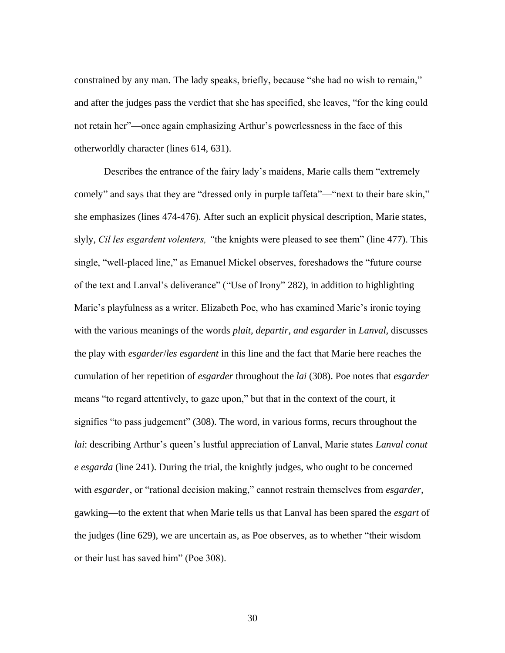constrained by any man. The lady speaks, briefly, because "she had no wish to remain," and after the judges pass the verdict that she has specified, she leaves, "for the king could not retain her"—once again emphasizing Arthur's powerlessness in the face of this otherworldly character (lines 614, 631).

Describes the entrance of the fairy lady's maidens, Marie calls them "extremely comely" and says that they are "dressed only in purple taffeta"—"next to their bare skin," she emphasizes (lines 474-476). After such an explicit physical description, Marie states, slyly, *Cil les esgardent volenters, "*the knights were pleased to see them" (line 477). This single, "well-placed line," as Emanuel Mickel observes, foreshadows the "future course of the text and Lanval's deliverance" ("Use of Irony" 282), in addition to highlighting Marie's playfulness as a writer. Elizabeth Poe, who has examined Marie's ironic toying with the various meanings of the words *plait, departir, and esgarder* in *Lanval,* discusses the play with *esgarder*/*les esgardent* in this line and the fact that Marie here reaches the cumulation of her repetition of *esgarder* throughout the *lai* (308). Poe notes that *esgarder*  means "to regard attentively, to gaze upon," but that in the context of the court, it signifies "to pass judgement" (308). The word, in various forms, recurs throughout the *lai*: describing Arthur's queen's lustful appreciation of Lanval, Marie states *Lanval conut e esgarda* (line 241). During the trial, the knightly judges, who ought to be concerned with *esgarder*, or "rational decision making," cannot restrain themselves from *esgarder,* gawking—to the extent that when Marie tells us that Lanval has been spared the *esgart* of the judges (line 629), we are uncertain as, as Poe observes, as to whether "their wisdom or their lust has saved him" (Poe 308).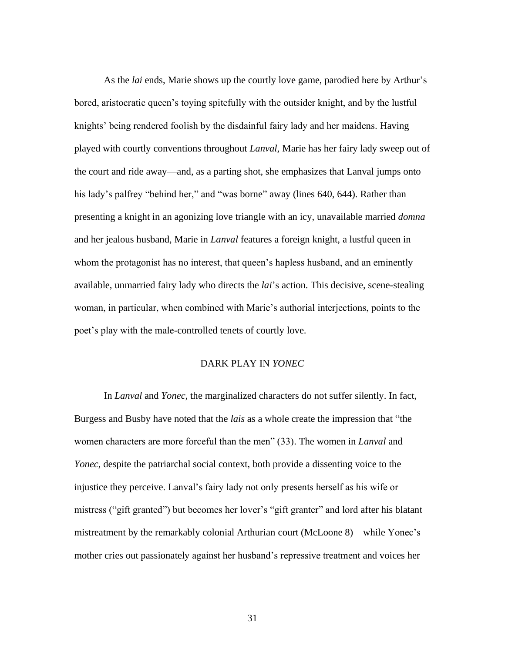As the *lai* ends, Marie shows up the courtly love game, parodied here by Arthur's bored, aristocratic queen's toying spitefully with the outsider knight, and by the lustful knights' being rendered foolish by the disdainful fairy lady and her maidens. Having played with courtly conventions throughout *Lanval*, Marie has her fairy lady sweep out of the court and ride away—and, as a parting shot, she emphasizes that Lanval jumps onto his lady's palfrey "behind her," and "was borne" away (lines 640, 644). Rather than presenting a knight in an agonizing love triangle with an icy, unavailable married *domna* and her jealous husband, Marie in *Lanval* features a foreign knight, a lustful queen in whom the protagonist has no interest, that queen's hapless husband, and an eminently available, unmarried fairy lady who directs the *lai*'s action. This decisive, scene-stealing woman, in particular, when combined with Marie's authorial interjections, points to the poet's play with the male-controlled tenets of courtly love.

### DARK PLAY IN *YONEC*

<span id="page-36-0"></span>In *Lanval* and *Yonec,* the marginalized characters do not suffer silently. In fact, Burgess and Busby have noted that the *lais* as a whole create the impression that "the women characters are more forceful than the men" (33). The women in *Lanval* and *Yonec*, despite the patriarchal social context, both provide a dissenting voice to the injustice they perceive. Lanval's fairy lady not only presents herself as his wife or mistress ("gift granted") but becomes her lover's "gift granter" and lord after his blatant mistreatment by the remarkably colonial Arthurian court (McLoone 8)—while Yonec's mother cries out passionately against her husband's repressive treatment and voices her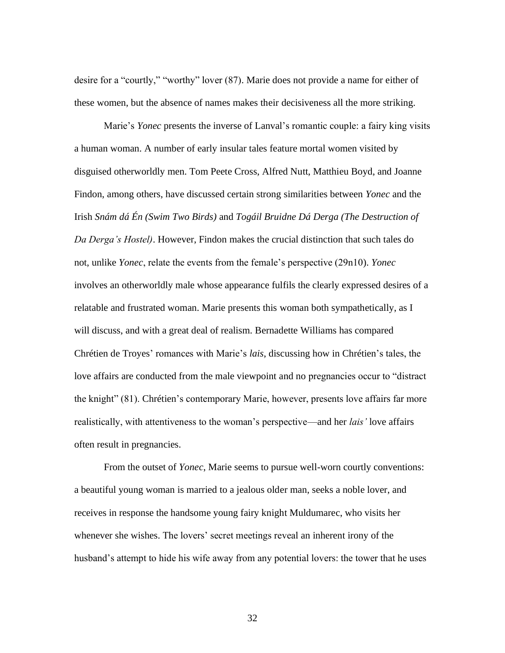desire for a "courtly," "worthy" lover (87). Marie does not provide a name for either of these women, but the absence of names makes their decisiveness all the more striking.

Marie's *Yonec* presents the inverse of Lanval's romantic couple: a fairy king visits a human woman. A number of early insular tales feature mortal women visited by disguised otherworldly men. Tom Peete Cross, Alfred Nutt, Matthieu Boyd, and Joanne Findon, among others, have discussed certain strong similarities between *Yonec* and the Irish *Snám dá Én (Swim Two Birds)* and *Togáil Bruidne Dá Derga (The Destruction of Da Derga's Hostel)*. However, Findon makes the crucial distinction that such tales do not, unlike *Yonec*, relate the events from the female's perspective (29n10). *Yonec* involves an otherworldly male whose appearance fulfils the clearly expressed desires of a relatable and frustrated woman. Marie presents this woman both sympathetically, as I will discuss, and with a great deal of realism. Bernadette Williams has compared Chrétien de Troyes' romances with Marie's *lais*, discussing how in Chrétien's tales, the love affairs are conducted from the male viewpoint and no pregnancies occur to "distract the knight" (81). Chrétien's contemporary Marie, however, presents love affairs far more realistically, with attentiveness to the woman's perspective—and her *lais'* love affairs often result in pregnancies.

From the outset of *Yonec*, Marie seems to pursue well-worn courtly conventions: a beautiful young woman is married to a jealous older man, seeks a noble lover, and receives in response the handsome young fairy knight Muldumarec, who visits her whenever she wishes. The lovers' secret meetings reveal an inherent irony of the husband's attempt to hide his wife away from any potential lovers: the tower that he uses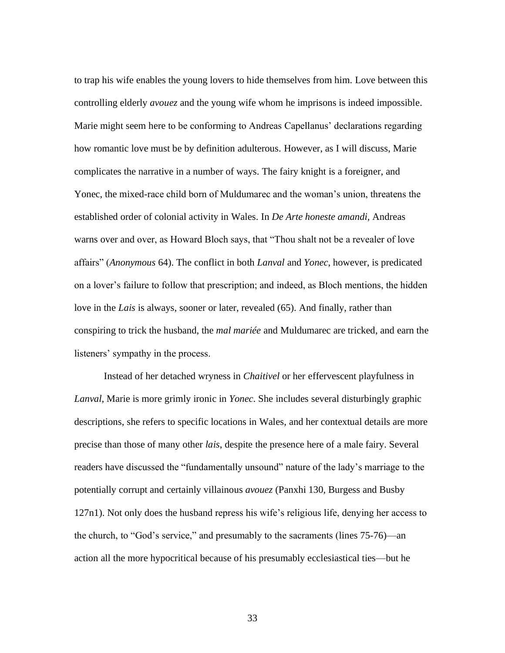to trap his wife enables the young lovers to hide themselves from him. Love between this controlling elderly *avouez* and the young wife whom he imprisons is indeed impossible. Marie might seem here to be conforming to Andreas Capellanus' declarations regarding how romantic love must be by definition adulterous. However, as I will discuss, Marie complicates the narrative in a number of ways. The fairy knight is a foreigner, and Yonec, the mixed-race child born of Muldumarec and the woman's union, threatens the established order of colonial activity in Wales. In *De Arte honeste amandi,* Andreas warns over and over, as Howard Bloch says, that "Thou shalt not be a revealer of love affairs" (*Anonymous* 64). The conflict in both *Lanval* and *Yonec*, however, is predicated on a lover's failure to follow that prescription; and indeed, as Bloch mentions, the hidden love in the *Lais* is always, sooner or later, revealed (65). And finally, rather than conspiring to trick the husband, the *mal mariée* and Muldumarec are tricked, and earn the listeners' sympathy in the process.

Instead of her detached wryness in *Chaitivel* or her effervescent playfulness in *Lanval*, Marie is more grimly ironic in *Yonec*. She includes several disturbingly graphic descriptions, she refers to specific locations in Wales, and her contextual details are more precise than those of many other *lais*, despite the presence here of a male fairy. Several readers have discussed the "fundamentally unsound" nature of the lady's marriage to the potentially corrupt and certainly villainous *avouez* (Panxhi 130, Burgess and Busby 127n1). Not only does the husband repress his wife's religious life, denying her access to the church, to "God's service," and presumably to the sacraments (lines 75-76)—an action all the more hypocritical because of his presumably ecclesiastical ties—but he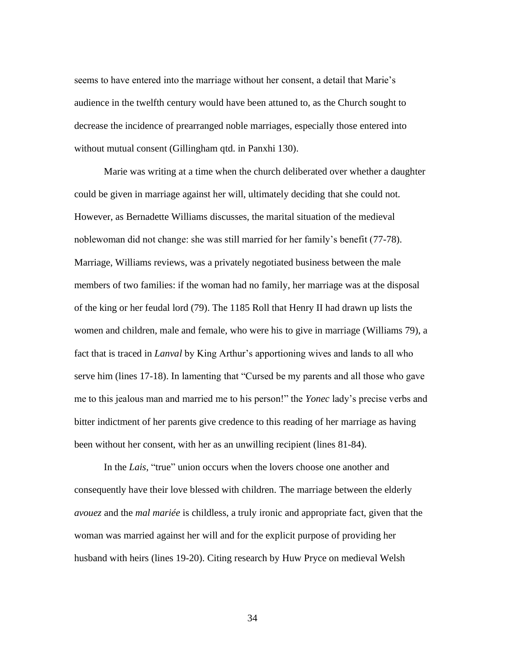seems to have entered into the marriage without her consent, a detail that Marie's audience in the twelfth century would have been attuned to, as the Church sought to decrease the incidence of prearranged noble marriages, especially those entered into without mutual consent (Gillingham qtd. in Panxhi 130).

Marie was writing at a time when the church deliberated over whether a daughter could be given in marriage against her will, ultimately deciding that she could not. However, as Bernadette Williams discusses, the marital situation of the medieval noblewoman did not change: she was still married for her family's benefit (77-78). Marriage, Williams reviews, was a privately negotiated business between the male members of two families: if the woman had no family, her marriage was at the disposal of the king or her feudal lord (79). The 1185 Roll that Henry II had drawn up lists the women and children, male and female, who were his to give in marriage (Williams 79), a fact that is traced in *Lanval* by King Arthur's apportioning wives and lands to all who serve him (lines 17-18). In lamenting that "Cursed be my parents and all those who gave me to this jealous man and married me to his person!" the *Yonec* lady's precise verbs and bitter indictment of her parents give credence to this reading of her marriage as having been without her consent, with her as an unwilling recipient (lines 81-84).

In the *Lais*, "true" union occurs when the lovers choose one another and consequently have their love blessed with children. The marriage between the elderly *avouez* and the *mal mariée* is childless, a truly ironic and appropriate fact, given that the woman was married against her will and for the explicit purpose of providing her husband with heirs (lines 19-20). Citing research by Huw Pryce on medieval Welsh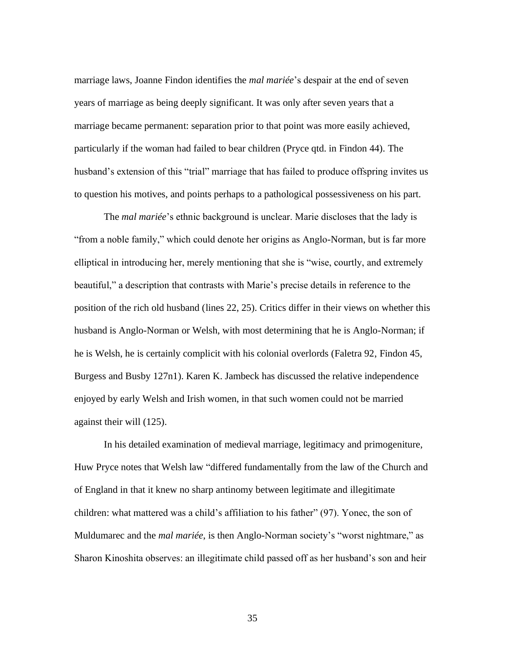marriage laws, Joanne Findon identifies the *mal mariée*'s despair at the end of seven years of marriage as being deeply significant. It was only after seven years that a marriage became permanent: separation prior to that point was more easily achieved, particularly if the woman had failed to bear children (Pryce qtd. in Findon 44). The husband's extension of this "trial" marriage that has failed to produce offspring invites us to question his motives, and points perhaps to a pathological possessiveness on his part.

The *mal mariée*'s ethnic background is unclear. Marie discloses that the lady is "from a noble family," which could denote her origins as Anglo-Norman, but is far more elliptical in introducing her, merely mentioning that she is "wise, courtly, and extremely beautiful," a description that contrasts with Marie's precise details in reference to the position of the rich old husband (lines 22, 25). Critics differ in their views on whether this husband is Anglo-Norman or Welsh, with most determining that he is Anglo-Norman; if he is Welsh, he is certainly complicit with his colonial overlords (Faletra 92, Findon 45, Burgess and Busby 127n1). Karen K. Jambeck has discussed the relative independence enjoyed by early Welsh and Irish women, in that such women could not be married against their will (125).

In his detailed examination of medieval marriage, legitimacy and primogeniture, Huw Pryce notes that Welsh law "differed fundamentally from the law of the Church and of England in that it knew no sharp antinomy between legitimate and illegitimate children: what mattered was a child's affiliation to his father" (97). Yonec, the son of Muldumarec and the *mal mariée*, is then Anglo-Norman society's "worst nightmare," as Sharon Kinoshita observes: an illegitimate child passed off as her husband's son and heir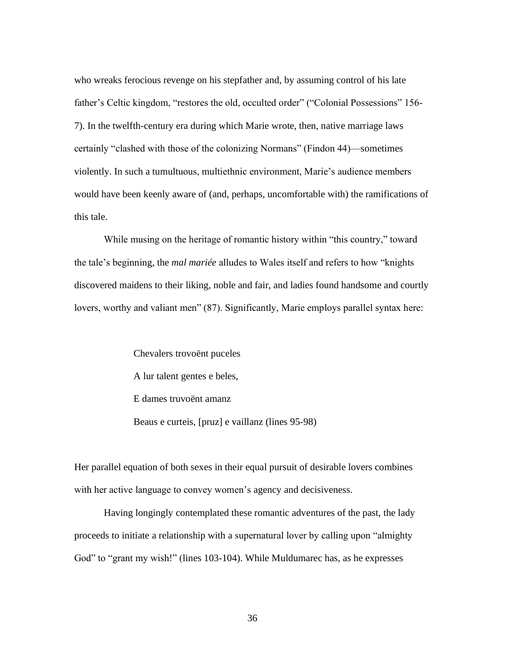who wreaks ferocious revenge on his stepfather and, by assuming control of his late father's Celtic kingdom, "restores the old, occulted order" ("Colonial Possessions" 156- 7). In the twelfth-century era during which Marie wrote, then, native marriage laws certainly "clashed with those of the colonizing Normans" (Findon 44)—sometimes violently. In such a tumultuous, multiethnic environment, Marie's audience members would have been keenly aware of (and, perhaps, uncomfortable with) the ramifications of this tale.

While musing on the heritage of romantic history within "this country," toward the tale's beginning, the *mal mariée* alludes to Wales itself and refers to how "knights discovered maidens to their liking, noble and fair, and ladies found handsome and courtly lovers, worthy and valiant men" (87). Significantly, Marie employs parallel syntax here:

> Chevalers trovoënt puceles A lur talent gentes e beles, E dames truvoënt amanz Beaus e curteis, [pruz] e vaillanz (lines 95-98)

Her parallel equation of both sexes in their equal pursuit of desirable lovers combines with her active language to convey women's agency and decisiveness.

Having longingly contemplated these romantic adventures of the past, the lady proceeds to initiate a relationship with a supernatural lover by calling upon "almighty God" to "grant my wish!" (lines 103-104). While Muldumarec has, as he expresses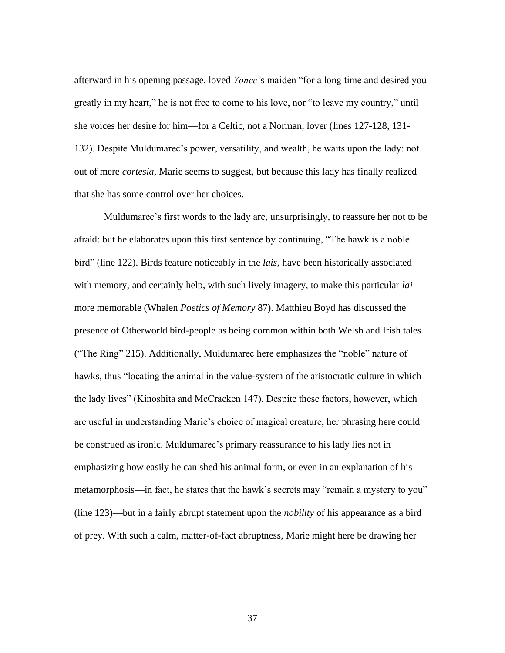afterward in his opening passage, loved *Yonec'*s maiden "for a long time and desired you greatly in my heart," he is not free to come to his love, nor "to leave my country," until she voices her desire for him—for a Celtic, not a Norman, lover (lines 127-128, 131- 132). Despite Muldumarec's power, versatility, and wealth, he waits upon the lady: not out of mere *cortesia*, Marie seems to suggest, but because this lady has finally realized that she has some control over her choices.

Muldumarec's first words to the lady are, unsurprisingly, to reassure her not to be afraid: but he elaborates upon this first sentence by continuing, "The hawk is a noble bird" (line 122). Birds feature noticeably in the *lais*, have been historically associated with memory, and certainly help, with such lively imagery, to make this particular *lai* more memorable (Whalen *Poetics of Memory* 87). Matthieu Boyd has discussed the presence of Otherworld bird-people as being common within both Welsh and Irish tales ("The Ring" 215). Additionally, Muldumarec here emphasizes the "noble" nature of hawks, thus "locating the animal in the value-system of the aristocratic culture in which the lady lives" (Kinoshita and McCracken 147). Despite these factors, however, which are useful in understanding Marie's choice of magical creature, her phrasing here could be construed as ironic. Muldumarec's primary reassurance to his lady lies not in emphasizing how easily he can shed his animal form, or even in an explanation of his metamorphosis—in fact, he states that the hawk's secrets may "remain a mystery to you" (line 123)—but in a fairly abrupt statement upon the *nobility* of his appearance as a bird of prey. With such a calm, matter-of-fact abruptness, Marie might here be drawing her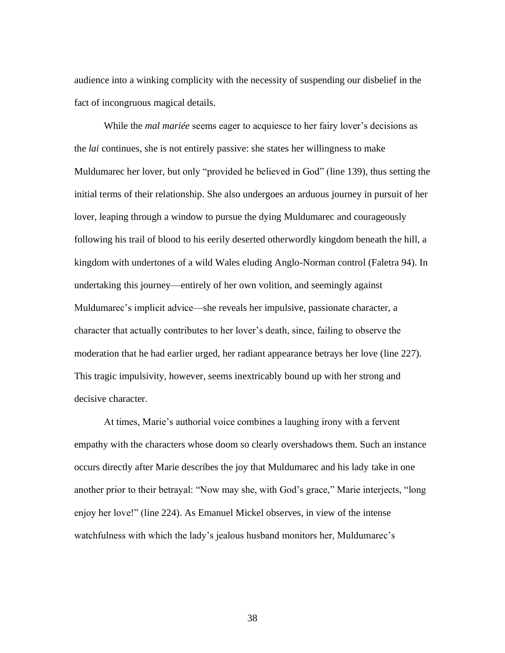audience into a winking complicity with the necessity of suspending our disbelief in the fact of incongruous magical details.

While the *mal mariée* seems eager to acquiesce to her fairy lover's decisions as the *lai* continues, she is not entirely passive: she states her willingness to make Muldumarec her lover, but only "provided he believed in God" (line 139), thus setting the initial terms of their relationship. She also undergoes an arduous journey in pursuit of her lover, leaping through a window to pursue the dying Muldumarec and courageously following his trail of blood to his eerily deserted otherwordly kingdom beneath the hill, a kingdom with undertones of a wild Wales eluding Anglo-Norman control (Faletra 94). In undertaking this journey—entirely of her own volition, and seemingly against Muldumarec's implicit advice—she reveals her impulsive, passionate character, a character that actually contributes to her lover's death, since, failing to observe the moderation that he had earlier urged, her radiant appearance betrays her love (line 227). This tragic impulsivity, however, seems inextricably bound up with her strong and decisive character.

At times, Marie's authorial voice combines a laughing irony with a fervent empathy with the characters whose doom so clearly overshadows them. Such an instance occurs directly after Marie describes the joy that Muldumarec and his lady take in one another prior to their betrayal: "Now may she, with God's grace," Marie interjects, "long enjoy her love!" (line 224). As Emanuel Mickel observes, in view of the intense watchfulness with which the lady's jealous husband monitors her, Muldumarec's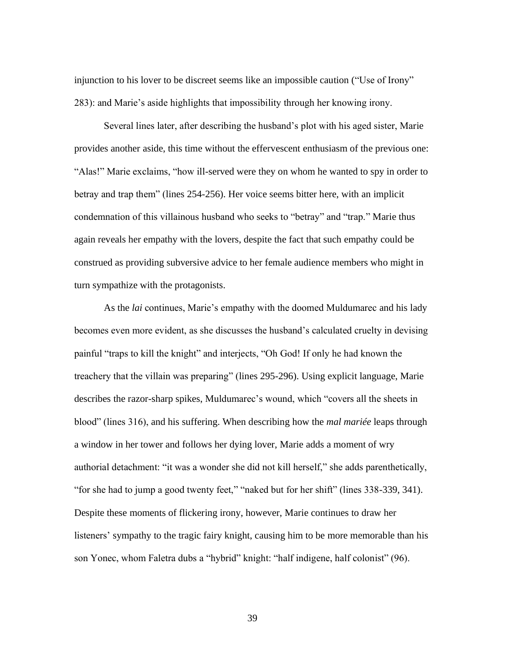injunction to his lover to be discreet seems like an impossible caution ("Use of Irony" 283): and Marie's aside highlights that impossibility through her knowing irony.

Several lines later, after describing the husband's plot with his aged sister, Marie provides another aside, this time without the effervescent enthusiasm of the previous one: "Alas!" Marie exclaims, "how ill-served were they on whom he wanted to spy in order to betray and trap them" (lines 254-256). Her voice seems bitter here, with an implicit condemnation of this villainous husband who seeks to "betray" and "trap." Marie thus again reveals her empathy with the lovers, despite the fact that such empathy could be construed as providing subversive advice to her female audience members who might in turn sympathize with the protagonists.

As the *lai* continues, Marie's empathy with the doomed Muldumarec and his lady becomes even more evident, as she discusses the husband's calculated cruelty in devising painful "traps to kill the knight" and interjects, "Oh God! If only he had known the treachery that the villain was preparing" (lines 295-296). Using explicit language, Marie describes the razor-sharp spikes, Muldumarec's wound, which "covers all the sheets in blood" (lines 316), and his suffering. When describing how the *mal mariée* leaps through a window in her tower and follows her dying lover, Marie adds a moment of wry authorial detachment: "it was a wonder she did not kill herself," she adds parenthetically, "for she had to jump a good twenty feet," "naked but for her shift" (lines 338-339, 341). Despite these moments of flickering irony, however, Marie continues to draw her listeners' sympathy to the tragic fairy knight, causing him to be more memorable than his son Yonec, whom Faletra dubs a "hybrid" knight: "half indigene, half colonist" (96).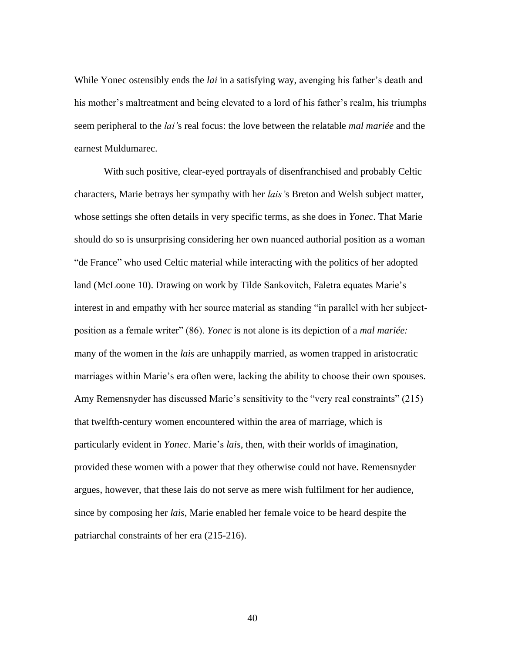While Yonec ostensibly ends the *lai* in a satisfying way, avenging his father's death and his mother's maltreatment and being elevated to a lord of his father's realm, his triumphs seem peripheral to the *lai'*s real focus: the love between the relatable *mal mariée* and the earnest Muldumarec.

With such positive, clear-eyed portrayals of disenfranchised and probably Celtic characters, Marie betrays her sympathy with her *lais'*s Breton and Welsh subject matter, whose settings she often details in very specific terms, as she does in *Yonec*. That Marie should do so is unsurprising considering her own nuanced authorial position as a woman "de France" who used Celtic material while interacting with the politics of her adopted land (McLoone 10). Drawing on work by Tilde Sankovitch, Faletra equates Marie's interest in and empathy with her source material as standing "in parallel with her subjectposition as a female writer" (86). *Yonec* is not alone is its depiction of a *mal mariée:*  many of the women in the *lais* are unhappily married, as women trapped in aristocratic marriages within Marie's era often were, lacking the ability to choose their own spouses. Amy Remensnyder has discussed Marie's sensitivity to the "very real constraints" (215) that twelfth-century women encountered within the area of marriage, which is particularly evident in *Yonec*. Marie's *lais*, then, with their worlds of imagination, provided these women with a power that they otherwise could not have. Remensnyder argues, however, that these lais do not serve as mere wish fulfilment for her audience, since by composing her *lais*, Marie enabled her female voice to be heard despite the patriarchal constraints of her era (215-216).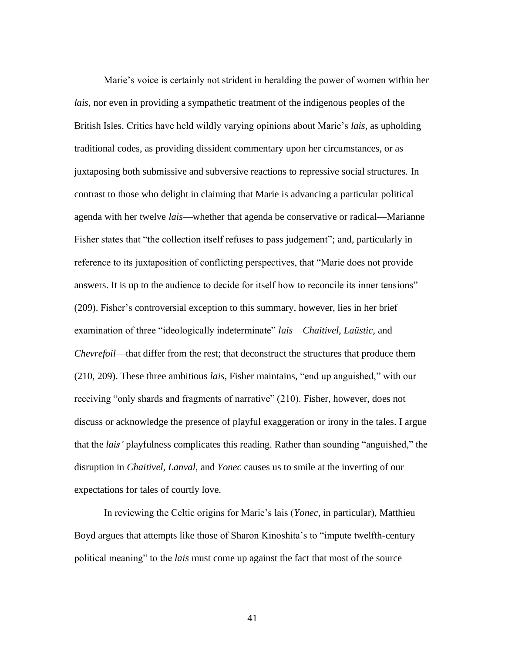Marie's voice is certainly not strident in heralding the power of women within her *lais*, nor even in providing a sympathetic treatment of the indigenous peoples of the British Isles. Critics have held wildly varying opinions about Marie's *lais*, as upholding traditional codes, as providing dissident commentary upon her circumstances, or as juxtaposing both submissive and subversive reactions to repressive social structures. In contrast to those who delight in claiming that Marie is advancing a particular political agenda with her twelve *lais*—whether that agenda be conservative or radical—Marianne Fisher states that "the collection itself refuses to pass judgement"; and, particularly in reference to its juxtaposition of conflicting perspectives, that "Marie does not provide answers. It is up to the audience to decide for itself how to reconcile its inner tensions" (209). Fisher's controversial exception to this summary, however, lies in her brief examination of three "ideologically indeterminate" *lais*—*Chaitivel, Laüstic,* and *Chevrefoil*—that differ from the rest; that deconstruct the structures that produce them (210, 209). These three ambitious *lais*, Fisher maintains, "end up anguished," with our receiving "only shards and fragments of narrative" (210). Fisher, however, does not discuss or acknowledge the presence of playful exaggeration or irony in the tales. I argue that the *lais'* playfulness complicates this reading. Rather than sounding "anguished," the disruption in *Chaitivel, Lanval*, and *Yonec* causes us to smile at the inverting of our expectations for tales of courtly love.

In reviewing the Celtic origins for Marie's lais (*Yonec,* in particular), Matthieu Boyd argues that attempts like those of Sharon Kinoshita's to "impute twelfth-century political meaning" to the *lais* must come up against the fact that most of the source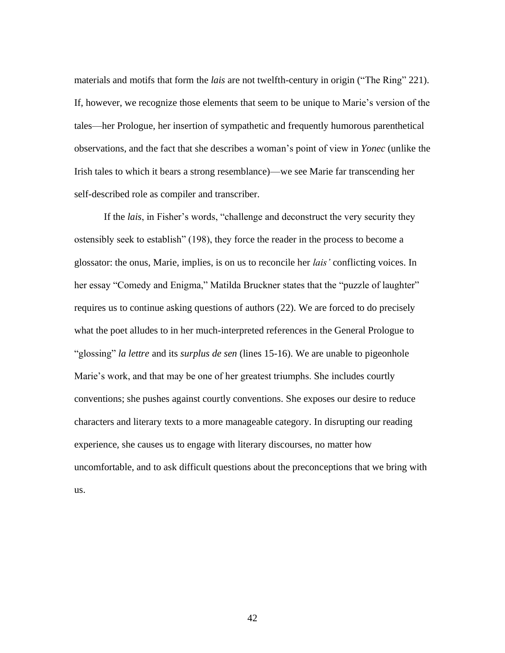materials and motifs that form the *lais* are not twelfth-century in origin ("The Ring" 221). If, however, we recognize those elements that seem to be unique to Marie's version of the tales—her Prologue, her insertion of sympathetic and frequently humorous parenthetical observations, and the fact that she describes a woman's point of view in *Yonec* (unlike the Irish tales to which it bears a strong resemblance)—we see Marie far transcending her self-described role as compiler and transcriber.

If the *lais*, in Fisher's words, "challenge and deconstruct the very security they ostensibly seek to establish" (198), they force the reader in the process to become a glossator: the onus, Marie, implies, is on us to reconcile her *lais'* conflicting voices. In her essay "Comedy and Enigma," Matilda Bruckner states that the "puzzle of laughter" requires us to continue asking questions of authors (22). We are forced to do precisely what the poet alludes to in her much-interpreted references in the General Prologue to "glossing" *la lettre* and its *surplus de sen* (lines 15-16). We are unable to pigeonhole Marie's work, and that may be one of her greatest triumphs. She includes courtly conventions; she pushes against courtly conventions. She exposes our desire to reduce characters and literary texts to a more manageable category. In disrupting our reading experience, she causes us to engage with literary discourses, no matter how uncomfortable, and to ask difficult questions about the preconceptions that we bring with us.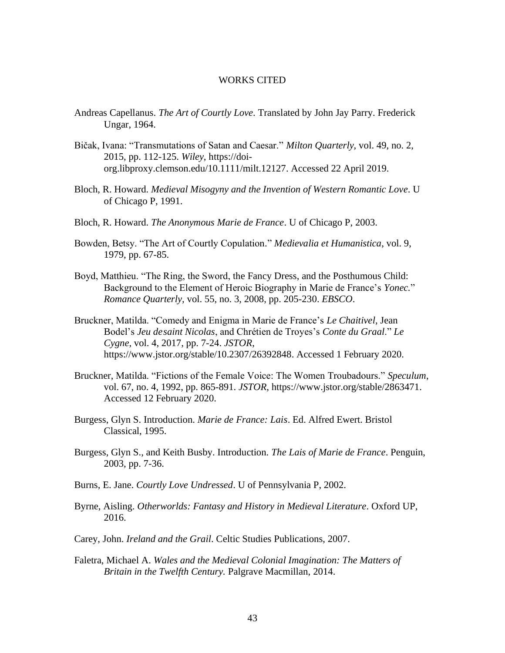#### WORKS CITED

- <span id="page-48-0"></span>Andreas Capellanus. *The Art of Courtly Love*. Translated by John Jay Parry. Frederick Ungar, 1964.
- Bičak, Ivana: "Transmutations of Satan and Caesar." *Milton Quarterly,* vol. 49, no. 2, 2015, pp. 112-125. *Wiley*, [https://doi](https://doi-org.libproxy.clemson.edu/10.1111/milt.12127)[org.libproxy.clemson.edu/10.1111/milt.12127.](https://doi-org.libproxy.clemson.edu/10.1111/milt.12127) Accessed 22 April 2019.
- Bloch, R. Howard. *Medieval Misogyny and the Invention of Western Romantic Love*. U of Chicago P, 1991.
- Bloch, R. Howard. *The Anonymous Marie de France*. U of Chicago P, 2003.
- Bowden, Betsy. "The Art of Courtly Copulation." *Medievalia et Humanistica*, vol. 9, 1979, pp. 67-85.
- Boyd, Matthieu. "The Ring, the Sword, the Fancy Dress, and the Posthumous Child: Background to the Element of Heroic Biography in Marie de France's *Yonec.*" *Romance Quarterly,* vol. 55, no. 3, 2008, pp. 205-230. *EBSCO*.
- Bruckner, Matilda. "Comedy and Enigma in Marie de France's *Le Chaitivel*, Jean Bodel's *Jeu desaint Nicolas*, and Chrétien de Troyes's *Conte du Graal*." *Le Cygne*, vol. 4, 2017, pp. 7-24. *JSTOR*, [https://www.jstor.org/stable/10.2307/26392848.](https://www.jstor.org/stable/10.2307/26392848) Accessed 1 February 2020.
- Bruckner, Matilda. "Fictions of the Female Voice: The Women Troubadours." *Speculum*, vol. 67, no. 4, 1992, pp. 865-891. *JSTOR*, [https://www.jstor.org/stable/2863471.](https://www.jstor.org/stable/2863471) Accessed 12 February 2020.
- Burgess, Glyn S. Introduction. *Marie de France: Lais*. Ed. Alfred Ewert. Bristol Classical, 1995.
- Burgess, Glyn S., and Keith Busby. Introduction. *The Lais of Marie de France*. Penguin, 2003, pp. 7-36.
- Burns, E. Jane. *Courtly Love Undressed*. U of Pennsylvania P, 2002.
- Byrne, Aisling. *Otherworlds: Fantasy and History in Medieval Literature*. Oxford UP, 2016.
- Carey, John. *Ireland and the Grail*. Celtic Studies Publications, 2007.
- Faletra, Michael A. *Wales and the Medieval Colonial Imagination: The Matters of Britain in the Twelfth Century.* Palgrave Macmillan, 2014.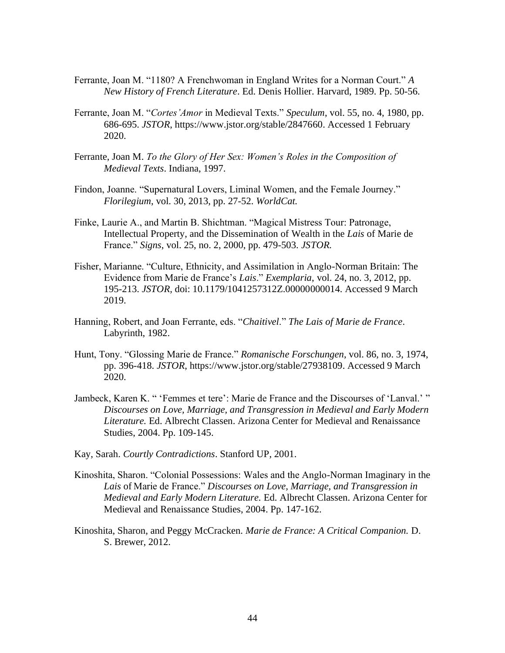- Ferrante, Joan M. "1180? A Frenchwoman in England Writes for a Norman Court." *A New History of French Literature*. Ed. Denis Hollier. Harvard, 1989. Pp. 50-56.
- Ferrante, Joan M. "*Cortes'Amor* in Medieval Texts." *Speculum*, vol. 55, no. 4, 1980, pp. 686-695. *JSTOR*, [https://www.jstor.org/stable/2847660.](https://www.jstor.org/stable/2847660) Accessed 1 February 2020.
- Ferrante, Joan M. *To the Glory of Her Sex: Women's Roles in the Composition of Medieval Texts*. Indiana, 1997.
- Findon, Joanne. "Supernatural Lovers, Liminal Women, and the Female Journey." *Florilegium*, vol. 30, 2013, pp. 27-52. *WorldCat.*
- Finke, Laurie A., and Martin B. Shichtman. "Magical Mistress Tour: Patronage, Intellectual Property, and the Dissemination of Wealth in the *Lais* of Marie de France." *Signs*, vol. 25, no. 2, 2000, pp. 479-503. *JSTOR.*
- Fisher, Marianne. "Culture, Ethnicity, and Assimilation in Anglo-Norman Britain: The Evidence from Marie de France's *Lais*." *Exemplaria*, vol. 24, no. 3, 2012, pp. 195-213. *JSTOR,* doi: 10.1179/1041257312Z.00000000014. Accessed 9 March 2019.
- Hanning, Robert, and Joan Ferrante, eds. "*Chaitivel*." *The Lais of Marie de France*. Labyrinth, 1982.
- Hunt, Tony. "Glossing Marie de France." *Romanische Forschungen*, vol. 86, no. 3, 1974, pp. 396-418. *JSTOR*, [https://www.jstor.org/stable/27938109.](https://www.jstor.org/stable/27938109) Accessed 9 March 2020.
- Jambeck, Karen K. " 'Femmes et tere': Marie de France and the Discourses of 'Lanval.' " *Discourses on Love, Marriage, and Transgression in Medieval and Early Modern Literature.* Ed. Albrecht Classen. Arizona Center for Medieval and Renaissance Studies, 2004. Pp. 109-145.
- Kay, Sarah. *Courtly Contradictions*. Stanford UP, 2001.
- Kinoshita, Sharon. "Colonial Possessions: Wales and the Anglo-Norman Imaginary in the *Lais* of Marie de France." *Discourses on Love, Marriage, and Transgression in Medieval and Early Modern Literature.* Ed. Albrecht Classen. Arizona Center for Medieval and Renaissance Studies, 2004. Pp. 147-162.
- Kinoshita, Sharon, and Peggy McCracken. *Marie de France: A Critical Companion.* D. S. Brewer, 2012.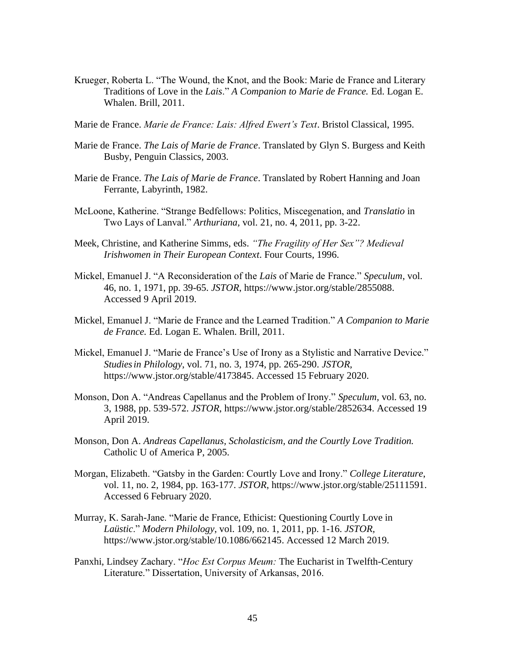- Krueger, Roberta L. "The Wound, the Knot, and the Book: Marie de France and Literary Traditions of Love in the *Lais*." *A Companion to Marie de France.* Ed. Logan E. Whalen. Brill, 2011.
- Marie de France. *Marie de France: Lais: Alfred Ewert's Text*. Bristol Classical, 1995.
- Marie de France. *The Lais of Marie de France*. Translated by Glyn S. Burgess and Keith Busby, Penguin Classics, 2003.
- Marie de France. *The Lais of Marie de France*. Translated by Robert Hanning and Joan Ferrante, Labyrinth, 1982.
- McLoone, Katherine. "Strange Bedfellows: Politics, Miscegenation, and *Translatio* in Two Lays of Lanval." *Arthuriana,* vol. 21, no. 4, 2011, pp. 3-22.
- Meek, Christine, and Katherine Simms, eds. *"The Fragility of Her Sex"? Medieval Irishwomen in Their European Context*. Four Courts, 1996.
- Mickel, Emanuel J. "A Reconsideration of the *Lais* of Marie de France." *Speculum*, vol. 46, no. 1, 1971, pp. 39-65. *JSTOR*, [https://www.jstor.org/stable/2855088.](https://www.jstor.org/stable/2855088) Accessed 9 April 2019.
- Mickel, Emanuel J. "Marie de France and the Learned Tradition." *A Companion to Marie de France.* Ed. Logan E. Whalen. Brill, 2011.
- Mickel, Emanuel J. "Marie de France's Use of Irony as a Stylistic and Narrative Device." *Studiesin Philology*, vol. 71, no. 3, 1974, pp. 265-290. *JSTOR,*  [https://www.jstor.org/stable/4173845.](https://www.jstor.org/stable/4173845) Accessed 15 February 2020.
- Monson, Don A. "Andreas Capellanus and the Problem of Irony." *Speculum,* vol. 63, no. 3, 1988, pp. 539-572. *JSTOR*, [https://www.jstor.org/stable/2852634.](https://www.jstor.org/stable/2852634) Accessed 19 April 2019.
- Monson, Don A. *Andreas Capellanus, Scholasticism, and the Courtly Love Tradition.*  Catholic U of America P, 2005.
- Morgan, Elizabeth. "Gatsby in the Garden: Courtly Love and Irony." *College Literature*, vol. 11, no. 2, 1984, pp. 163-177. *JSTOR*, [https://www.jstor.org/stable/25111591.](https://www.jstor.org/stable/25111591) Accessed 6 February 2020.
- Murray, K. Sarah-Jane. "Marie de France, Ethicist: Questioning Courtly Love in *Laüstic*." *Modern Philology*, vol. 109, no. 1, 2011, pp. 1-16. *JSTOR,* [https://www.jstor.org/stable/10.1086/662145.](https://www.jstor.org/stable/10.1086/662145) Accessed 12 March 2019.
- Panxhi, Lindsey Zachary. "*Hoc Est Corpus Meum:* The Eucharist in Twelfth-Century Literature." Dissertation, University of Arkansas, 2016.